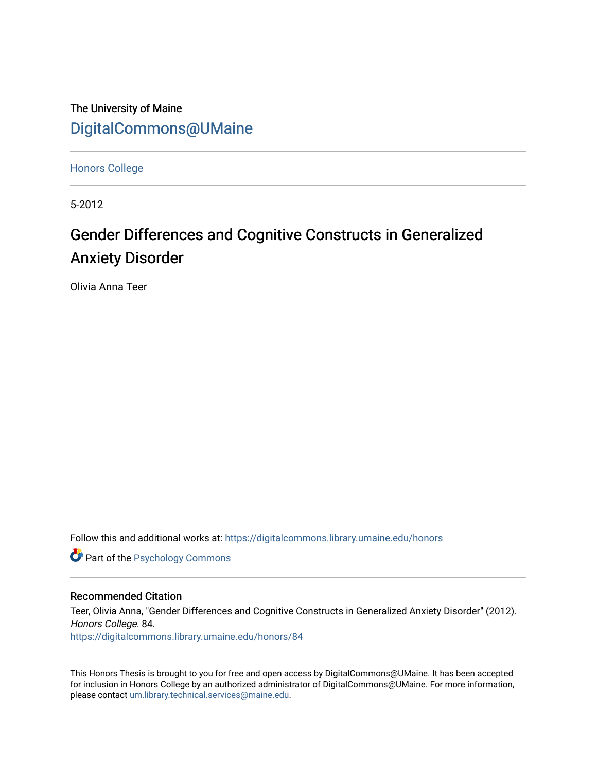The University of Maine [DigitalCommons@UMaine](https://digitalcommons.library.umaine.edu/)

[Honors College](https://digitalcommons.library.umaine.edu/honors)

5-2012

# Gender Differences and Cognitive Constructs in Generalized Anxiety Disorder

Olivia Anna Teer

Follow this and additional works at: [https://digitalcommons.library.umaine.edu/honors](https://digitalcommons.library.umaine.edu/honors?utm_source=digitalcommons.library.umaine.edu%2Fhonors%2F84&utm_medium=PDF&utm_campaign=PDFCoverPages) 

**Part of the Psychology Commons** 

#### Recommended Citation

Teer, Olivia Anna, "Gender Differences and Cognitive Constructs in Generalized Anxiety Disorder" (2012). Honors College. 84.

[https://digitalcommons.library.umaine.edu/honors/84](https://digitalcommons.library.umaine.edu/honors/84?utm_source=digitalcommons.library.umaine.edu%2Fhonors%2F84&utm_medium=PDF&utm_campaign=PDFCoverPages) 

This Honors Thesis is brought to you for free and open access by DigitalCommons@UMaine. It has been accepted for inclusion in Honors College by an authorized administrator of DigitalCommons@UMaine. For more information, please contact [um.library.technical.services@maine.edu.](mailto:um.library.technical.services@maine.edu)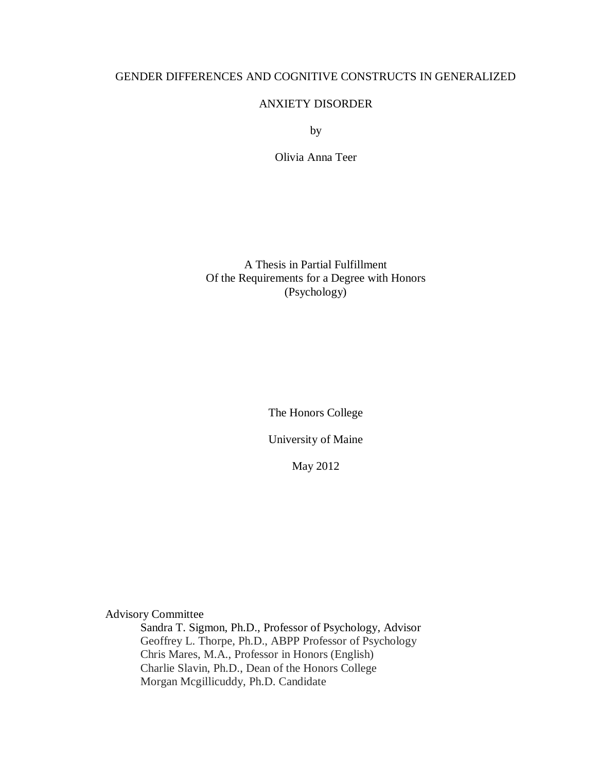## GENDER DIFFERENCES AND COGNITIVE CONSTRUCTS IN GENERALIZED

#### ANXIETY DISORDER

by

Olivia Anna Teer

A Thesis in Partial Fulfillment Of the Requirements for a Degree with Honors (Psychology)

The Honors College

University of Maine

May 2012

Advisory Committee

Sandra T. Sigmon, Ph.D., Professor of Psychology, Advisor Geoffrey L. Thorpe, Ph.D., ABPP Professor of Psychology Chris Mares, M.A., Professor in Honors (English) Charlie Slavin, Ph.D., Dean of the Honors College Morgan Mcgillicuddy, Ph.D. Candidate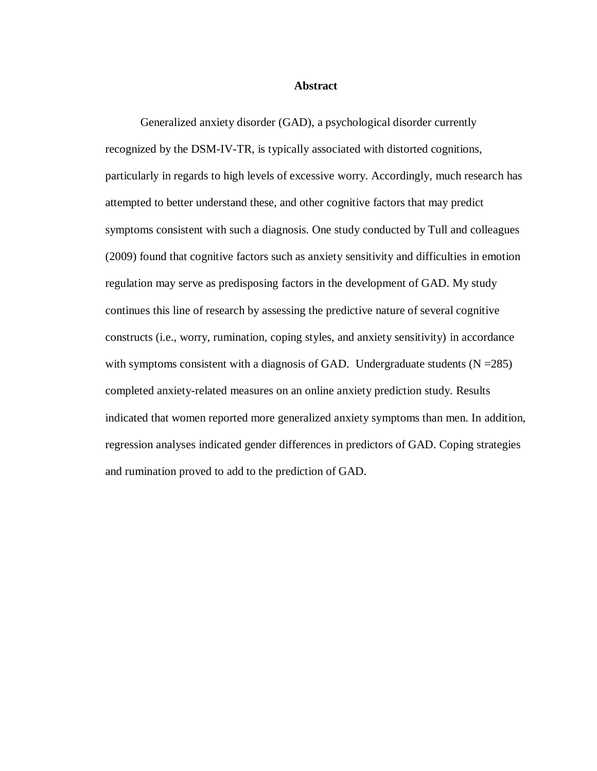#### **Abstract**

Generalized anxiety disorder (GAD), a psychological disorder currently recognized by the DSM-IV-TR, is typically associated with distorted cognitions, particularly in regards to high levels of excessive worry. Accordingly, much research has attempted to better understand these, and other cognitive factors that may predict symptoms consistent with such a diagnosis. One study conducted by Tull and colleagues (2009) found that cognitive factors such as anxiety sensitivity and difficulties in emotion regulation may serve as predisposing factors in the development of GAD. My study continues this line of research by assessing the predictive nature of several cognitive constructs (i.e., worry, rumination, coping styles, and anxiety sensitivity) in accordance with symptoms consistent with a diagnosis of GAD. Undergraduate students  $(N = 285)$ completed anxiety-related measures on an online anxiety prediction study. Results indicated that women reported more generalized anxiety symptoms than men. In addition, regression analyses indicated gender differences in predictors of GAD. Coping strategies and rumination proved to add to the prediction of GAD.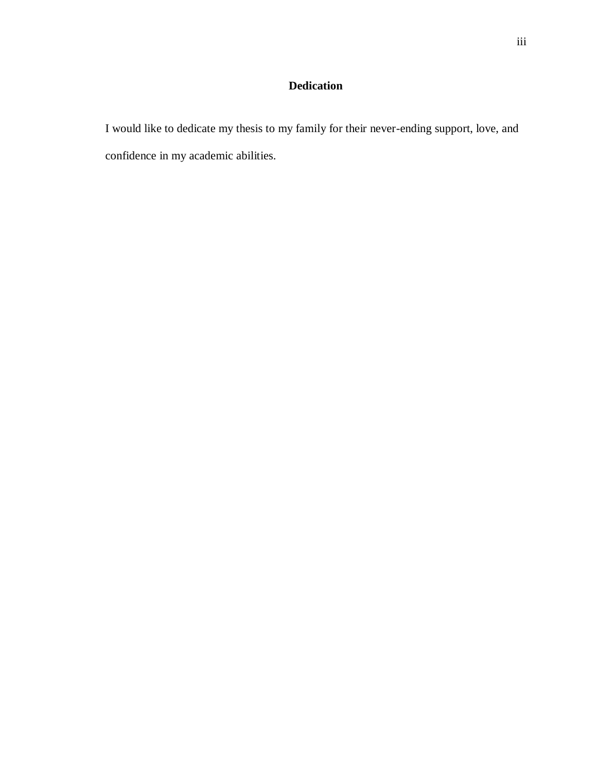## **Dedication**

I would like to dedicate my thesis to my family for their never-ending support, love, and confidence in my academic abilities.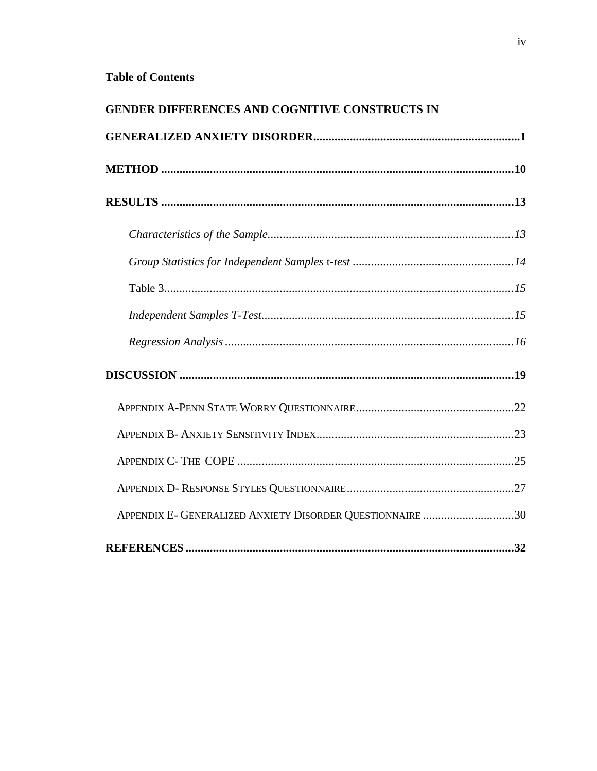# **Table of Contents**

| <b>GENDER DIFFERENCES AND COGNITIVE CONSTRUCTS IN</b>     |  |
|-----------------------------------------------------------|--|
|                                                           |  |
|                                                           |  |
|                                                           |  |
|                                                           |  |
|                                                           |  |
|                                                           |  |
|                                                           |  |
|                                                           |  |
|                                                           |  |
|                                                           |  |
|                                                           |  |
|                                                           |  |
|                                                           |  |
| APPENDIX E- GENERALIZED ANXIETY DISORDER QUESTIONNAIRE 30 |  |
|                                                           |  |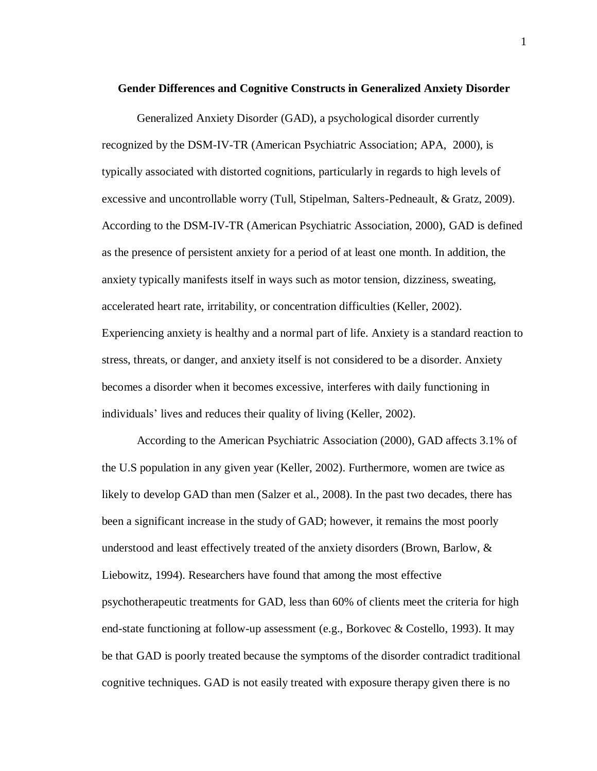#### **Gender Differences and Cognitive Constructs in Generalized Anxiety Disorder**

Generalized Anxiety Disorder (GAD), a psychological disorder currently recognized by the DSM-IV-TR (American Psychiatric Association; APA, 2000), is typically associated with distorted cognitions, particularly in regards to high levels of excessive and uncontrollable worry (Tull, Stipelman, Salters-Pedneault, & Gratz, 2009). According to the DSM-IV-TR (American Psychiatric Association, 2000), GAD is defined as the presence of persistent anxiety for a period of at least one month. In addition, the anxiety typically manifests itself in ways such as motor tension, dizziness, sweating, accelerated heart rate, irritability, or concentration difficulties (Keller, 2002). Experiencing anxiety is healthy and a normal part of life. Anxiety is a standard reaction to stress, threats, or danger, and anxiety itself is not considered to be a disorder. Anxiety becomes a disorder when it becomes excessive, interferes with daily functioning in individuals' lives and reduces their quality of living (Keller, 2002).

According to the American Psychiatric Association (2000), GAD affects 3.1% of the U.S population in any given year (Keller, 2002). Furthermore, women are twice as likely to develop GAD than men (Salzer et al., 2008). In the past two decades, there has been a significant increase in the study of GAD; however, it remains the most poorly understood and least effectively treated of the anxiety disorders (Brown, Barlow, & Liebowitz, 1994). Researchers have found that among the most effective psychotherapeutic treatments for GAD, less than 60% of clients meet the criteria for high end-state functioning at follow-up assessment (e.g., Borkovec & Costello, 1993). It may be that GAD is poorly treated because the symptoms of the disorder contradict traditional cognitive techniques. GAD is not easily treated with exposure therapy given there is no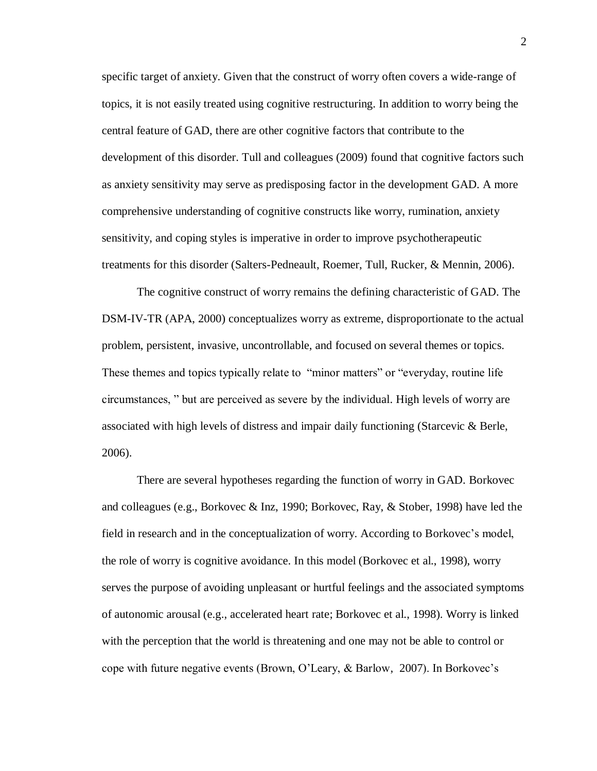specific target of anxiety. Given that the construct of worry often covers a wide-range of topics, it is not easily treated using cognitive restructuring. In addition to worry being the central feature of GAD, there are other cognitive factors that contribute to the development of this disorder. Tull and colleagues (2009) found that cognitive factors such as anxiety sensitivity may serve as predisposing factor in the development GAD. A more comprehensive understanding of cognitive constructs like worry, rumination, anxiety sensitivity, and coping styles is imperative in order to improve psychotherapeutic treatments for this disorder (Salters-Pedneault, Roemer, Tull, Rucker, & Mennin, 2006).

The cognitive construct of worry remains the defining characteristic of GAD. The DSM-IV-TR (APA, 2000) conceptualizes worry as extreme, disproportionate to the actual problem, persistent, invasive, uncontrollable, and focused on several themes or topics. These themes and topics typically relate to "minor matters" or "everyday, routine life circumstances, " but are perceived as severe by the individual. High levels of worry are associated with high levels of distress and impair daily functioning (Starcevic & Berle, 2006).

There are several hypotheses regarding the function of worry in GAD. Borkovec and colleagues (e.g., Borkovec & Inz, 1990; Borkovec, Ray, & Stober, 1998) have led the field in research and in the conceptualization of worry. According to Borkovec's model, the role of worry is cognitive avoidance. In this model (Borkovec et al., 1998), worry serves the purpose of avoiding unpleasant or hurtful feelings and the associated symptoms of autonomic arousal (e.g., accelerated heart rate; Borkovec et al., 1998). Worry is linked with the perception that the world is threatening and one may not be able to control or cope with future negative events (Brown, O'Leary, & Barlow, 2007). In Borkovec's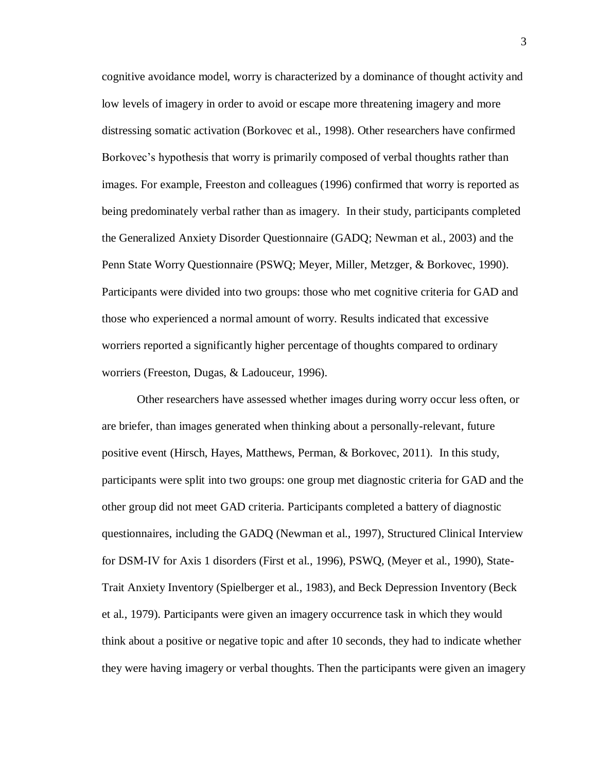cognitive avoidance model, worry is characterized by a dominance of thought activity and low levels of imagery in order to avoid or escape more threatening imagery and more distressing somatic activation (Borkovec et al., 1998). Other researchers have confirmed Borkovec's hypothesis that worry is primarily composed of verbal thoughts rather than images. For example, Freeston and colleagues (1996) confirmed that worry is reported as being predominately verbal rather than as imagery. In their study, participants completed the Generalized Anxiety Disorder Questionnaire (GADQ; Newman et al., 2003) and the Penn State Worry Questionnaire (PSWQ; Meyer, Miller, Metzger, & Borkovec, 1990). Participants were divided into two groups: those who met cognitive criteria for GAD and those who experienced a normal amount of worry. Results indicated that excessive worriers reported a significantly higher percentage of thoughts compared to ordinary worriers (Freeston, Dugas, & Ladouceur, 1996).

Other researchers have assessed whether images during worry occur less often, or are briefer, than images generated when thinking about a personally-relevant, future positive event (Hirsch, Hayes, Matthews, Perman, & Borkovec, 2011). In this study, participants were split into two groups: one group met diagnostic criteria for GAD and the other group did not meet GAD criteria. Participants completed a battery of diagnostic questionnaires, including the GADQ (Newman et al., 1997), Structured Clinical Interview for DSM-IV for Axis 1 disorders (First et al., 1996), PSWQ, (Meyer et al., 1990), State-Trait Anxiety Inventory (Spielberger et al., 1983), and Beck Depression Inventory (Beck et al., 1979). Participants were given an imagery occurrence task in which they would think about a positive or negative topic and after 10 seconds, they had to indicate whether they were having imagery or verbal thoughts. Then the participants were given an imagery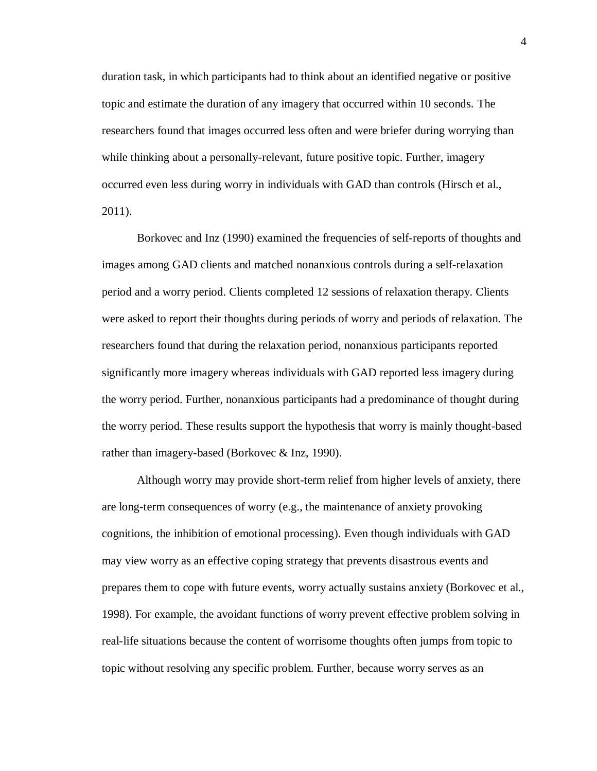duration task, in which participants had to think about an identified negative or positive topic and estimate the duration of any imagery that occurred within 10 seconds. The researchers found that images occurred less often and were briefer during worrying than while thinking about a personally-relevant, future positive topic. Further, imagery occurred even less during worry in individuals with GAD than controls (Hirsch et al., 2011).

Borkovec and Inz (1990) examined the frequencies of self-reports of thoughts and images among GAD clients and matched nonanxious controls during a self-relaxation period and a worry period. Clients completed 12 sessions of relaxation therapy. Clients were asked to report their thoughts during periods of worry and periods of relaxation. The researchers found that during the relaxation period, nonanxious participants reported significantly more imagery whereas individuals with GAD reported less imagery during the worry period. Further, nonanxious participants had a predominance of thought during the worry period. These results support the hypothesis that worry is mainly thought-based rather than imagery-based (Borkovec & Inz, 1990).

Although worry may provide short-term relief from higher levels of anxiety, there are long-term consequences of worry (e.g., the maintenance of anxiety provoking cognitions, the inhibition of emotional processing). Even though individuals with GAD may view worry as an effective coping strategy that prevents disastrous events and prepares them to cope with future events, worry actually sustains anxiety (Borkovec et al., 1998). For example, the avoidant functions of worry prevent effective problem solving in real-life situations because the content of worrisome thoughts often jumps from topic to topic without resolving any specific problem. Further, because worry serves as an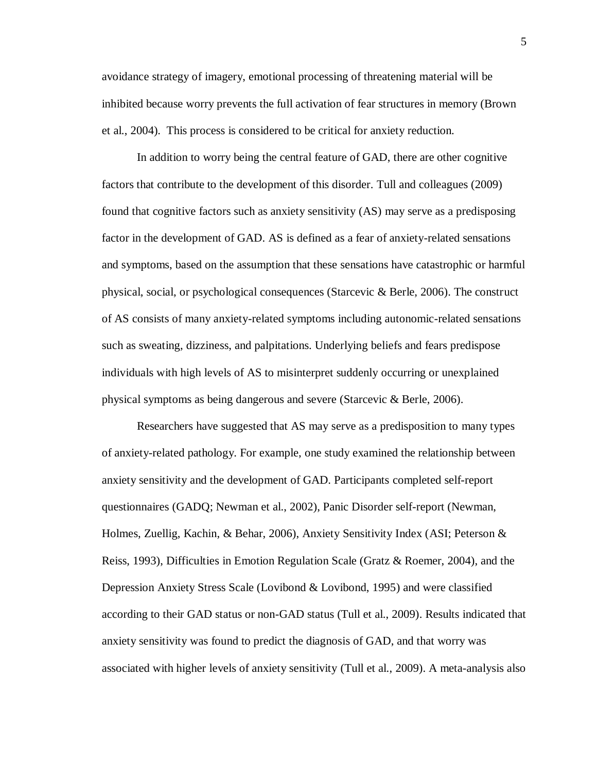avoidance strategy of imagery, emotional processing of threatening material will be inhibited because worry prevents the full activation of fear structures in memory (Brown et al., 2004). This process is considered to be critical for anxiety reduction.

In addition to worry being the central feature of GAD, there are other cognitive factors that contribute to the development of this disorder. Tull and colleagues (2009) found that cognitive factors such as anxiety sensitivity (AS) may serve as a predisposing factor in the development of GAD. AS is defined as a fear of anxiety-related sensations and symptoms, based on the assumption that these sensations have catastrophic or harmful physical, social, or psychological consequences (Starcevic & Berle, 2006). The construct of AS consists of many anxiety-related symptoms including autonomic-related sensations such as sweating, dizziness, and palpitations. Underlying beliefs and fears predispose individuals with high levels of AS to misinterpret suddenly occurring or unexplained physical symptoms as being dangerous and severe (Starcevic & Berle, 2006).

Researchers have suggested that AS may serve as a predisposition to many types of anxiety-related pathology. For example, one study examined the relationship between anxiety sensitivity and the development of GAD. Participants completed self-report questionnaires (GADQ; Newman et al., 2002), Panic Disorder self-report (Newman, Holmes, Zuellig, Kachin, & Behar, 2006), Anxiety Sensitivity Index (ASI; Peterson & Reiss, 1993), Difficulties in Emotion Regulation Scale (Gratz & Roemer, 2004), and the Depression Anxiety Stress Scale (Lovibond & Lovibond, 1995) and were classified according to their GAD status or non-GAD status (Tull et al., 2009). Results indicated that anxiety sensitivity was found to predict the diagnosis of GAD, and that worry was associated with higher levels of anxiety sensitivity (Tull et al., 2009). A meta-analysis also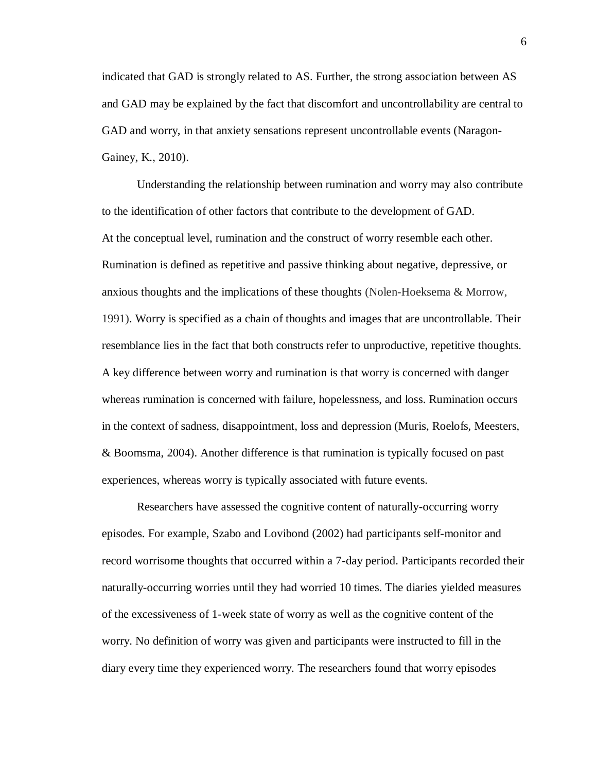indicated that GAD is strongly related to AS. Further, the strong association between AS and GAD may be explained by the fact that discomfort and uncontrollability are central to GAD and worry, in that anxiety sensations represent uncontrollable events (Naragon-Gainey, K., 2010).

Understanding the relationship between rumination and worry may also contribute to the identification of other factors that contribute to the development of GAD. At the conceptual level, rumination and the construct of worry resemble each other. Rumination is defined as repetitive and passive thinking about negative, depressive, or anxious thoughts and the implications of these thoughts (Nolen-Hoeksema & Morrow, 1991). Worry is specified as a chain of thoughts and images that are uncontrollable. Their resemblance lies in the fact that both constructs refer to unproductive, repetitive thoughts. A key difference between worry and rumination is that worry is concerned with danger whereas rumination is concerned with failure, hopelessness, and loss. Rumination occurs in the context of sadness, disappointment, loss and depression (Muris, Roelofs, Meesters, & Boomsma, 2004). Another difference is that rumination is typically focused on past experiences, whereas worry is typically associated with future events.

Researchers have assessed the cognitive content of naturally-occurring worry episodes. For example, Szabo and Lovibond (2002) had participants self-monitor and record worrisome thoughts that occurred within a 7-day period. Participants recorded their naturally-occurring worries until they had worried 10 times. The diaries yielded measures of the excessiveness of 1-week state of worry as well as the cognitive content of the worry. No definition of worry was given and participants were instructed to fill in the diary every time they experienced worry. The researchers found that worry episodes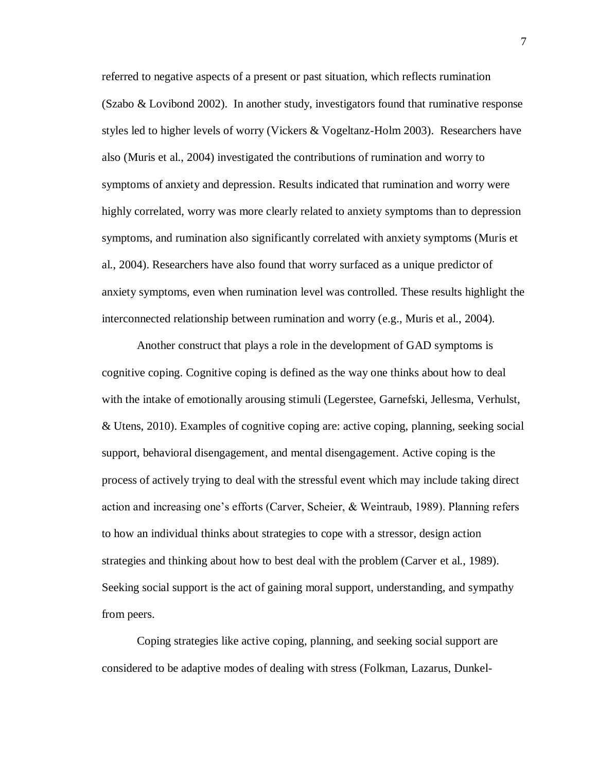referred to negative aspects of a present or past situation, which reflects rumination (Szabo & Lovibond 2002). In another study, investigators found that ruminative response styles led to higher levels of worry (Vickers & Vogeltanz-Holm 2003). Researchers have also (Muris et al., 2004) investigated the contributions of rumination and worry to symptoms of anxiety and depression. Results indicated that rumination and worry were highly correlated, worry was more clearly related to anxiety symptoms than to depression symptoms, and rumination also significantly correlated with anxiety symptoms (Muris et al., 2004). Researchers have also found that worry surfaced as a unique predictor of anxiety symptoms, even when rumination level was controlled. These results highlight the interconnected relationship between rumination and worry (e.g., Muris et al., 2004).

Another construct that plays a role in the development of GAD symptoms is cognitive coping. Cognitive coping is defined as the way one thinks about how to deal with the intake of emotionally arousing stimuli (Legerstee, Garnefski, Jellesma, Verhulst, & Utens, 2010). Examples of cognitive coping are: active coping, planning, seeking social support, behavioral disengagement, and mental disengagement. Active coping is the process of actively trying to deal with the stressful event which may include taking direct action and increasing one's efforts (Carver, Scheier, & Weintraub, 1989). Planning refers to how an individual thinks about strategies to cope with a stressor, design action strategies and thinking about how to best deal with the problem (Carver et al., 1989). Seeking social support is the act of gaining moral support, understanding, and sympathy from peers.

Coping strategies like active coping, planning, and seeking social support are considered to be adaptive modes of dealing with stress (Folkman, Lazarus, Dunkel7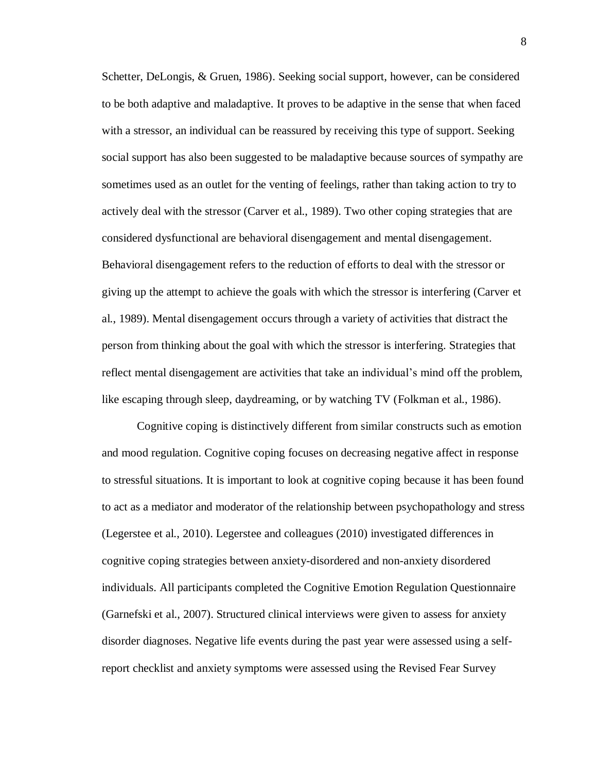Schetter, DeLongis, & Gruen, 1986). Seeking social support, however, can be considered to be both adaptive and maladaptive. It proves to be adaptive in the sense that when faced with a stressor, an individual can be reassured by receiving this type of support. Seeking social support has also been suggested to be maladaptive because sources of sympathy are sometimes used as an outlet for the venting of feelings, rather than taking action to try to actively deal with the stressor (Carver et al., 1989). Two other coping strategies that are considered dysfunctional are behavioral disengagement and mental disengagement. Behavioral disengagement refers to the reduction of efforts to deal with the stressor or giving up the attempt to achieve the goals with which the stressor is interfering (Carver et al., 1989). Mental disengagement occurs through a variety of activities that distract the person from thinking about the goal with which the stressor is interfering. Strategies that reflect mental disengagement are activities that take an individual's mind off the problem, like escaping through sleep, daydreaming, or by watching TV (Folkman et al., 1986).

Cognitive coping is distinctively different from similar constructs such as emotion and mood regulation. Cognitive coping focuses on decreasing negative affect in response to stressful situations. It is important to look at cognitive coping because it has been found to act as a mediator and moderator of the relationship between psychopathology and stress (Legerstee et al., 2010). Legerstee and colleagues (2010) investigated differences in cognitive coping strategies between anxiety-disordered and non-anxiety disordered individuals. All participants completed the Cognitive Emotion Regulation Questionnaire (Garnefski et al., 2007). Structured clinical interviews were given to assess for anxiety disorder diagnoses. Negative life events during the past year were assessed using a selfreport checklist and anxiety symptoms were assessed using the Revised Fear Survey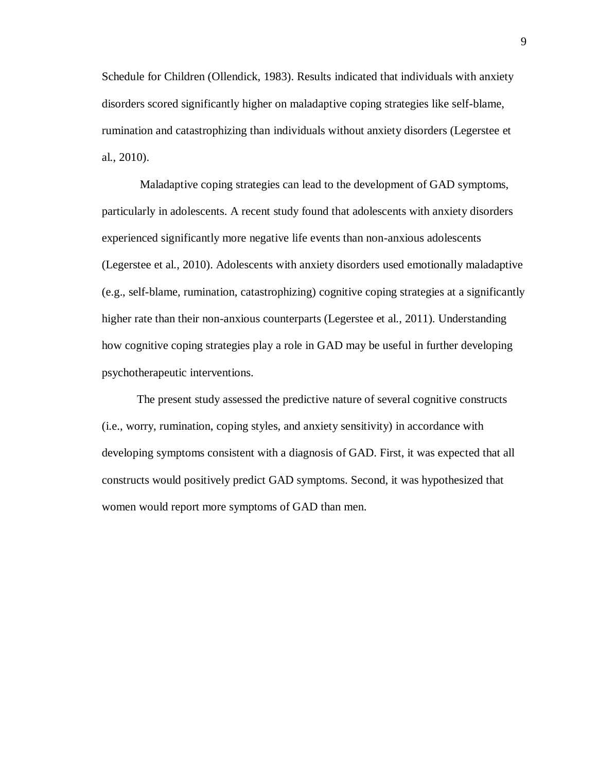Schedule for Children (Ollendick, 1983). Results indicated that individuals with anxiety disorders scored significantly higher on maladaptive coping strategies like self-blame, rumination and catastrophizing than individuals without anxiety disorders (Legerstee et al., 2010).

Maladaptive coping strategies can lead to the development of GAD symptoms, particularly in adolescents. A recent study found that adolescents with anxiety disorders experienced significantly more negative life events than non-anxious adolescents (Legerstee et al., 2010). Adolescents with anxiety disorders used emotionally maladaptive (e.g., self-blame, rumination, catastrophizing) cognitive coping strategies at a significantly higher rate than their non-anxious counterparts (Legerstee et al., 2011). Understanding how cognitive coping strategies play a role in GAD may be useful in further developing psychotherapeutic interventions.

The present study assessed the predictive nature of several cognitive constructs (i.e., worry, rumination, coping styles, and anxiety sensitivity) in accordance with developing symptoms consistent with a diagnosis of GAD. First, it was expected that all constructs would positively predict GAD symptoms. Second, it was hypothesized that women would report more symptoms of GAD than men.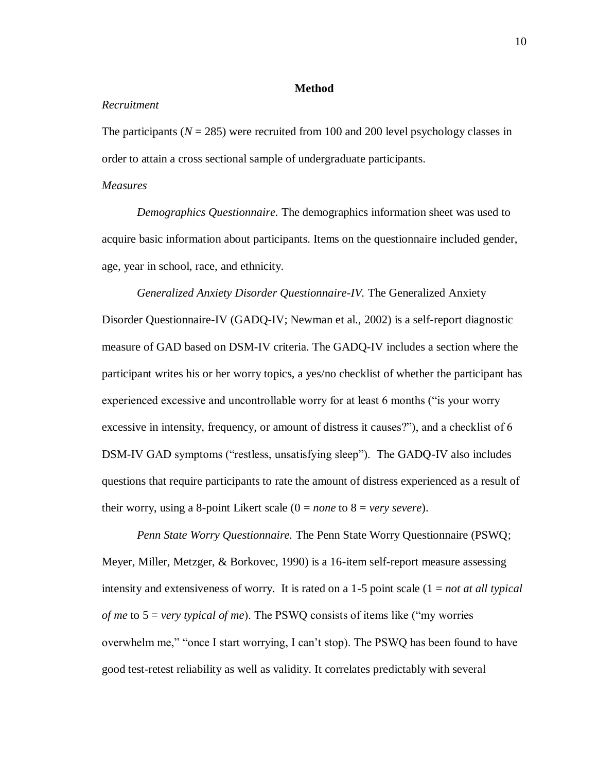#### **Method**

#### *Recruitment*

The participants  $(N = 285)$  were recruited from 100 and 200 level psychology classes in order to attain a cross sectional sample of undergraduate participants.

#### *Measures*

*Demographics Questionnaire.* The demographics information sheet was used to acquire basic information about participants. Items on the questionnaire included gender, age, year in school, race, and ethnicity.

# *Generalized Anxiety Disorder Questionnaire-IV.* The Generalized Anxiety

Disorder Questionnaire-IV (GADQ-IV; Newman et al., 2002) is a self-report diagnostic measure of GAD based on DSM-IV criteria. The GADQ-IV includes a section where the participant writes his or her worry topics, a yes/no checklist of whether the participant has experienced excessive and uncontrollable worry for at least 6 months ("is your worry excessive in intensity, frequency, or amount of distress it causes?"), and a checklist of 6 DSM-IV GAD symptoms ("restless, unsatisfying sleep"). The GADQ-IV also includes questions that require participants to rate the amount of distress experienced as a result of their worry, using a 8-point Likert scale  $(0 = none \text{ to } 8 = very \text{ }sevre)$ .

*Penn State Worry Questionnaire.* The Penn State Worry Questionnaire (PSWQ; Meyer, Miller, Metzger, & Borkovec, 1990) is a 16-item self-report measure assessing intensity and extensiveness of worry. It is rated on a 1-5 point scale (1 = *not at all typical of me* to 5 = *very typical of me*). The PSWQ consists of items like ("my worries overwhelm me," "once I start worrying, I can't stop). The PSWQ has been found to have good test-retest reliability as well as validity. It correlates predictably with several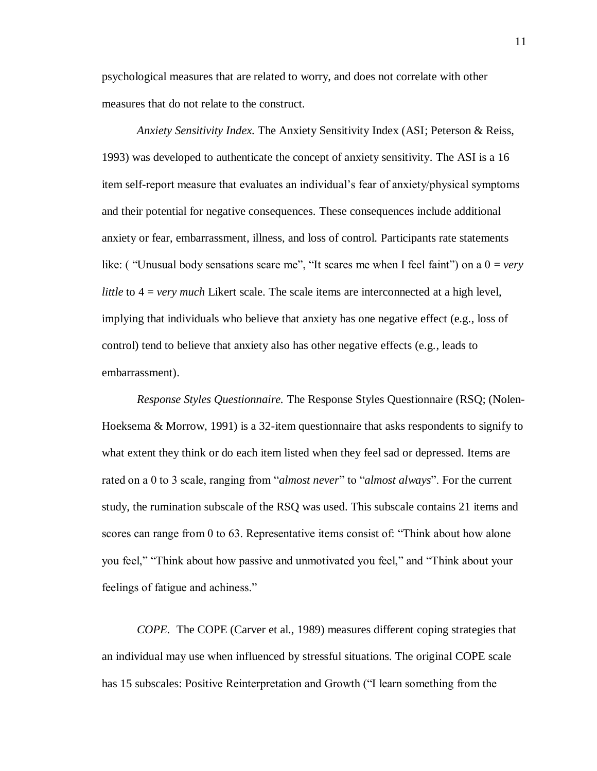psychological measures that are related to worry, and does not correlate with other measures that do not relate to the construct.

*Anxiety Sensitivity Index.* The Anxiety Sensitivity Index (ASI; Peterson & Reiss, 1993) was developed to authenticate the concept of anxiety sensitivity. The ASI is a 16 item self-report measure that evaluates an individual's fear of anxiety/physical symptoms and their potential for negative consequences. These consequences include additional anxiety or fear, embarrassment, illness, and loss of control. Participants rate statements like: ( "Unusual body sensations scare me", "It scares me when I feel faint") on a  $0 = \text{very}$ *little* to 4 = *very much* Likert scale. The scale items are interconnected at a high level, implying that individuals who believe that anxiety has one negative effect (e.g., loss of control) tend to believe that anxiety also has other negative effects (e.g., leads to embarrassment).

*Response Styles Questionnaire.* The Response Styles Questionnaire (RSQ; (Nolen-Hoeksema & Morrow, 1991) is a 32-item questionnaire that asks respondents to signify to what extent they think or do each item listed when they feel sad or depressed. Items are rated on a 0 to 3 scale, ranging from "*almost never*" to "*almost always*". For the current study, the rumination subscale of the RSQ was used. This subscale contains 21 items and scores can range from 0 to 63. Representative items consist of: "Think about how alone you feel," "Think about how passive and unmotivated you feel," and "Think about your feelings of fatigue and achiness."

*COPE.* The COPE (Carver et al., 1989) measures different coping strategies that an individual may use when influenced by stressful situations. The original COPE scale has 15 subscales: Positive Reinterpretation and Growth ("I learn something from the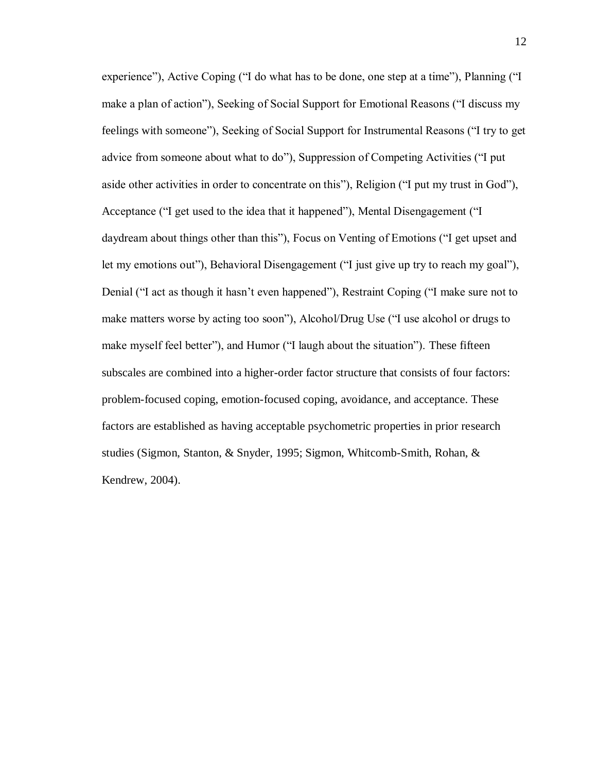experience"), Active Coping ("I do what has to be done, one step at a time"), Planning ("I make a plan of action"), Seeking of Social Support for Emotional Reasons ("I discuss my feelings with someone"), Seeking of Social Support for Instrumental Reasons ("I try to get advice from someone about what to do"), Suppression of Competing Activities ("I put aside other activities in order to concentrate on this"), Religion ("I put my trust in God"), Acceptance ("I get used to the idea that it happened"), Mental Disengagement ("I daydream about things other than this"), Focus on Venting of Emotions ("I get upset and let my emotions out"), Behavioral Disengagement ("I just give up try to reach my goal"), Denial ("I act as though it hasn't even happened"), Restraint Coping ("I make sure not to make matters worse by acting too soon"), Alcohol/Drug Use ("I use alcohol or drugs to make myself feel better"), and Humor ("I laugh about the situation"). These fifteen subscales are combined into a higher-order factor structure that consists of four factors: problem-focused coping, emotion-focused coping, avoidance, and acceptance. These factors are established as having acceptable psychometric properties in prior research studies (Sigmon, Stanton, & Snyder, 1995; Sigmon, Whitcomb-Smith, Rohan, & Kendrew, 2004).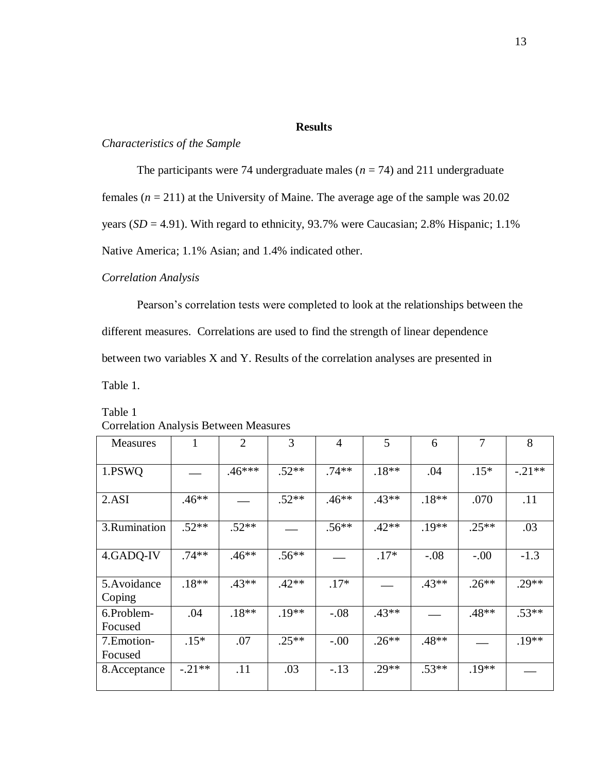#### **Results**

#### *Characteristics of the Sample*

The participants were 74 undergraduate males  $(n = 74)$  and 211 undergraduate

females  $(n = 211)$  at the University of Maine. The average age of the sample was 20.02

years (*SD* = 4.91). With regard to ethnicity, 93.7% were Caucasian; 2.8% Hispanic; 1.1%

Native America; 1.1% Asian; and 1.4% indicated other.

#### *Correlation Analysis*

Pearson's correlation tests were completed to look at the relationships between the different measures. Correlations are used to find the strength of linear dependence between two variables X and Y. Results of the correlation analyses are presented in Table 1.

| <b>Measures</b>        |          | $\overline{2}$ | 3       | $\overline{4}$ | 5       | 6       | 7       | 8        |
|------------------------|----------|----------------|---------|----------------|---------|---------|---------|----------|
| 1.PSWQ                 |          | $.46***$       | $.52**$ | $.74**$        | $.18**$ | .04     | $.15*$  | $-.21**$ |
| 2.ASI                  | $.46**$  |                | $.52**$ | $.46**$        | $.43**$ | $.18**$ | .070    | .11      |
| 3.Rumination           | $.52**$  | $.52**$        |         | $.56**$        | $.42**$ | $.19**$ | $.25**$ | .03      |
| 4.GADQ-IV              | $.74**$  | $.46**$        | $.56**$ |                | $.17*$  | $-.08$  | $-.00$  | $-1.3$   |
| 5. Avoidance<br>Coping | $.18**$  | $.43**$        | $.42**$ | $.17*$         |         | $.43**$ | $.26**$ | $.29**$  |
| 6.Problem-<br>Focused  | .04      | $.18**$        | $.19**$ | $-.08$         | $.43**$ |         | $.48**$ | $.53**$  |
| 7. Emotion-<br>Focused | $.15*$   | .07            | $.25**$ | $-.00$         | $.26**$ | $.48**$ |         | $.19**$  |
| 8.Acceptance           | $-.21**$ | .11            | .03     | $-.13$         | $.29**$ | $.53**$ | $.19**$ |          |

## Table 1 Correlation Analysis Between Measures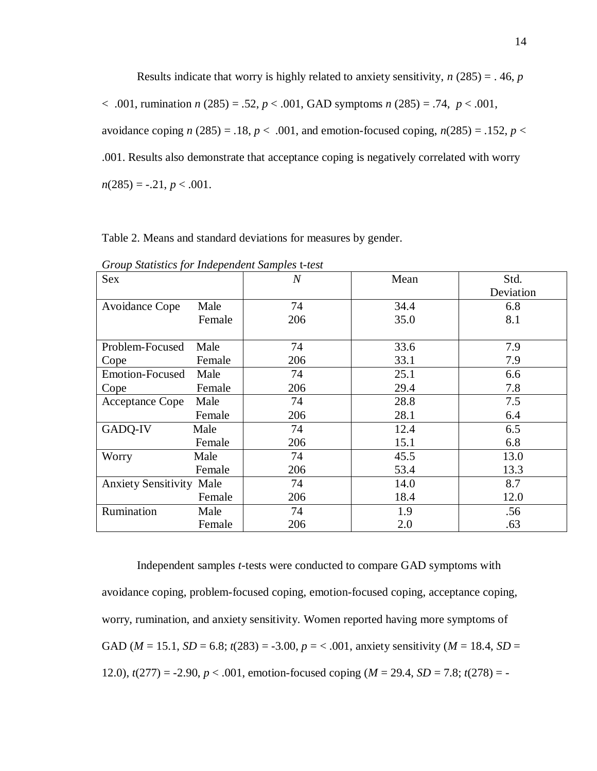Results indicate that worry is highly related to anxiety sensitivity, *n* (285) = . 46, *p*  < .001, rumination *n* (285) = .52, *p* < .001, GAD symptoms *n* (285) = .74, *p* < .001, avoidance coping  $n(285) = .18$ ,  $p < .001$ , and emotion-focused coping,  $n(285) = .152$ ,  $p <$ .001. Results also demonstrate that acceptance coping is negatively correlated with worry  $n(285) = -.21, p < .001.$ 

| Table 2. Means and standard deviations for measures by gender. |  |  |  |  |  |  |  |
|----------------------------------------------------------------|--|--|--|--|--|--|--|
|----------------------------------------------------------------|--|--|--|--|--|--|--|

| Sex                             |        | $\overline{N}$ | Mean | Std.      |
|---------------------------------|--------|----------------|------|-----------|
|                                 |        |                |      | Deviation |
| Avoidance Cope                  | Male   | 74             | 34.4 | 6.8       |
|                                 | Female | 206            | 35.0 | 8.1       |
|                                 |        |                |      |           |
| Problem-Focused                 | Male   | 74             | 33.6 | 7.9       |
| Cope                            | Female | 206            | 33.1 | 7.9       |
| <b>Emotion-Focused</b>          | Male   | 74             | 25.1 | 6.6       |
| Cope                            | Female | 206            | 29.4 | 7.8       |
| <b>Acceptance Cope</b>          | Male   | 74             | 28.8 | 7.5       |
|                                 | Female | 206            | 28.1 | 6.4       |
| GADQ-IV                         | Male   | 74             | 12.4 | 6.5       |
|                                 | Female | 206            | 15.1 | 6.8       |
| Worry                           | Male   | 74             | 45.5 | 13.0      |
|                                 | Female | 206            | 53.4 | 13.3      |
| <b>Anxiety Sensitivity Male</b> |        | 74             | 14.0 | 8.7       |
|                                 | Female | 206            | 18.4 | 12.0      |
| Rumination                      | Male   | 74             | 1.9  | .56       |
|                                 | Female | 206            | 2.0  | .63       |

*Group Statistics for Independent Samples* t*-test*

Independent samples *t*-tests were conducted to compare GAD symptoms with avoidance coping, problem-focused coping, emotion-focused coping, acceptance coping, worry, rumination, and anxiety sensitivity. Women reported having more symptoms of GAD ( $M = 15.1$ ,  $SD = 6.8$ ;  $t(283) = -3.00$ ,  $p = < .001$ , anxiety sensitivity ( $M = 18.4$ ,  $SD =$ 12.0),  $t(277) = -2.90$ ,  $p < .001$ , emotion-focused coping ( $M = 29.4$ ,  $SD = 7.8$ ;  $t(278) = -$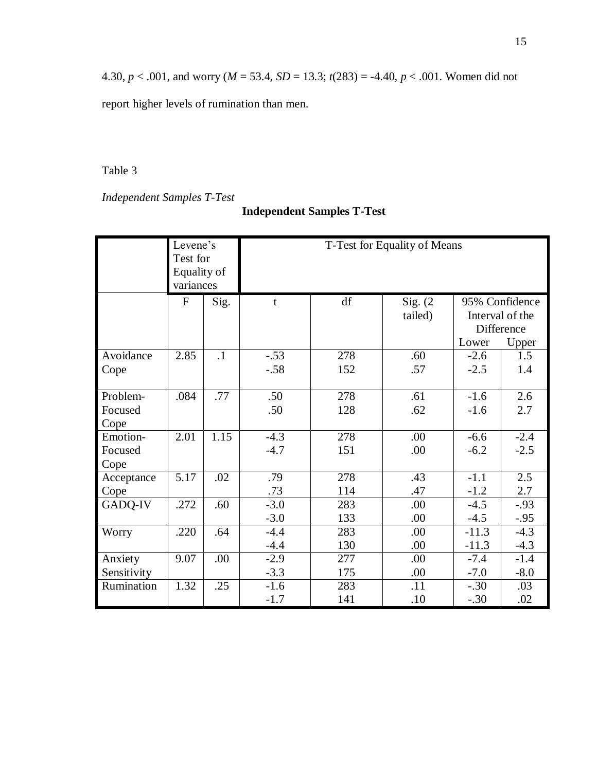4.30, *p* < .001, and worry (*M* = 53.4, *SD* = 13.3; *t*(283) = -4.40, *p* < .001. Women did not

report higher levels of rumination than men.

Table 3

*Independent Samples T-Test*

# **Independent Samples T-Test**

|                 | Levene's<br>Test for<br>Equality of<br>variances |           | T-Test for Equality of Means |     |                       |         |                                                          |
|-----------------|--------------------------------------------------|-----------|------------------------------|-----|-----------------------|---------|----------------------------------------------------------|
|                 | $\mathbf{F}$                                     | Sig.      | t                            | df  | Sig. $(2)$<br>tailed) | Lower   | 95% Confidence<br>Interval of the<br>Difference<br>Upper |
| Avoidance       | 2.85                                             | $\cdot$ 1 | $-.53$                       | 278 | .60                   | $-2.6$  | 1.5                                                      |
| Cope            |                                                  |           | $-.58$                       | 152 | .57                   | $-2.5$  | 1.4                                                      |
| Problem-        | .084                                             | .77       | .50                          | 278 | .61                   | $-1.6$  | 2.6                                                      |
| Focused<br>Cope |                                                  |           | .50                          | 128 | .62                   | $-1.6$  | 2.7                                                      |
| Emotion-        | 2.01                                             | 1.15      | $-4.3$                       | 278 | .00                   | $-6.6$  | $-2.4$                                                   |
| Focused<br>Cope |                                                  |           | $-4.7$                       | 151 | .00                   | $-6.2$  | $-2.5$                                                   |
| Acceptance      | 5.17                                             | .02       | .79                          | 278 | .43                   | $-1.1$  | 2.5                                                      |
| Cope            |                                                  |           | .73                          | 114 | .47                   | $-1.2$  | 2.7                                                      |
| GADQ-IV         | .272                                             | .60       | $-3.0$                       | 283 | .00                   | $-4.5$  | $-0.93$                                                  |
|                 |                                                  |           | $-3.0$                       | 133 | .00                   | $-4.5$  | $-.95$                                                   |
| Worry           | .220                                             | .64       | $-4.4$                       | 283 | .00                   | $-11.3$ | $-4.3$                                                   |
|                 |                                                  |           | $-4.4$                       | 130 | .00                   | $-11.3$ | $-4.3$                                                   |
| Anxiety         | 9.07                                             | .00       | $-2.9$                       | 277 | .00                   | $-7.4$  | $-1.4$                                                   |
| Sensitivity     |                                                  |           | $-3.3$                       | 175 | .00                   | $-7.0$  | $-8.0$                                                   |
| Rumination      | 1.32                                             | .25       | $-1.6$                       | 283 | .11                   | $-.30$  | .03                                                      |
|                 |                                                  |           | $-1.7$                       | 141 | .10                   | $-.30$  | .02                                                      |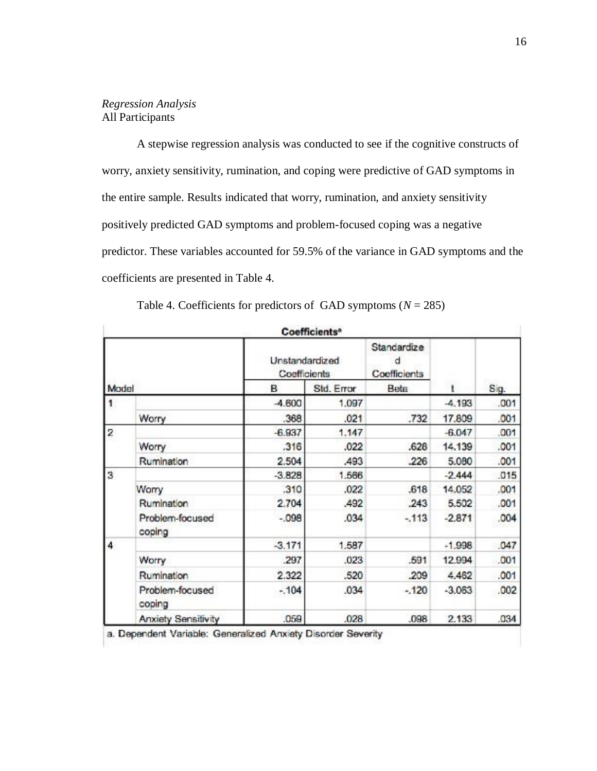### *Regression Analysis* All Participants

A stepwise regression analysis was conducted to see if the cognitive constructs of worry, anxiety sensitivity, rumination, and coping were predictive of GAD symptoms in the entire sample. Results indicated that worry, rumination, and anxiety sensitivity positively predicted GAD symptoms and problem-focused coping was a negative predictor. These variables accounted for 59.5% of the variance in GAD symptoms and the coefficients are presented in Table 4.

|                |                           |                                | Coefficients <sup>a</sup> |                                  |          |      |
|----------------|---------------------------|--------------------------------|---------------------------|----------------------------------|----------|------|
|                |                           | Unstandardized<br>Coefficients |                           | Standardize<br>d<br>Coefficients |          |      |
| Model          |                           | в                              | Std. Error                | Beta                             | ŧ        | Sig. |
|                |                           | $-4.600$                       | 1.097                     |                                  | $-4.193$ | .001 |
|                | Worry                     | .368                           | .021                      | .732                             | 17.809   | .001 |
| $\overline{2}$ |                           | $-6.937$                       | 1.147                     |                                  | $-6.047$ | .001 |
|                | Worry                     | .316                           | .022                      | .628                             | 14.139   | .001 |
|                | Rumination                | 2.504                          | .493                      | .226                             | 5.080    | .001 |
| 3              |                           | $-3.828$                       | 1.566                     |                                  | $-2.444$ | .015 |
|                | Worry                     | .310                           | .022                      | .618                             | 14.052   | .001 |
|                | Rumination                | 2.704                          | .492                      | .243                             | 5.502    | .001 |
|                | Problem-focused<br>coping | $-.098$                        | .034                      | $-113$                           | $-2.871$ | .004 |
| 4              |                           | $-3.171$                       | 1.587                     |                                  | $-1.998$ | .047 |
|                | Worry                     | .297                           | .023                      | .591                             | 12.994   | .001 |
|                | Rumination                | 2.322                          | .520                      | .209                             | 4,462    | .001 |
|                | Problem-focused<br>coping | $-.104$                        | .034                      | $-120$                           | $-3.063$ | .002 |
|                | Anxiety Sensitivity       | .059                           | .028                      | .098                             | 2.133    | .034 |

Table 4. Coefficients for predictors of GAD symptoms  $(N = 285)$ 

a. Dependent Variable: Generalized Anxiety Disorder Severity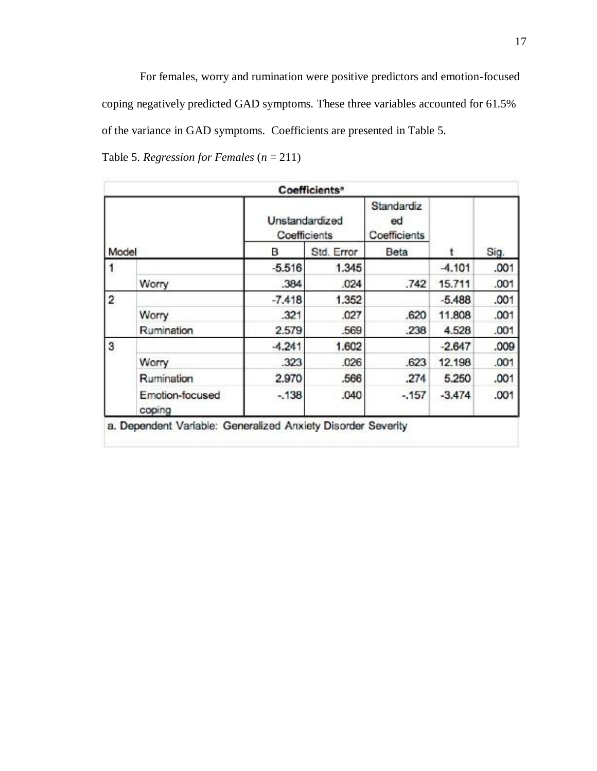For females, worry and rumination were positive predictors and emotion-focused coping negatively predicted GAD symptoms. These three variables accounted for 61.5% of the variance in GAD symptoms. Coefficients are presented in Table 5.

|  | Table 5. Regression for Females $(n = 211)$ |  |  |  |  |
|--|---------------------------------------------|--|--|--|--|
|--|---------------------------------------------|--|--|--|--|

|                         |                           |                                | Coefficients <sup>®</sup> |                                  |          |      |
|-------------------------|---------------------------|--------------------------------|---------------------------|----------------------------------|----------|------|
|                         |                           | Unstandardized<br>Coefficients |                           | Standardiz<br>ed<br>Coefficients |          |      |
| Model                   |                           | в                              | Std. Error                | Beta                             |          | Sig. |
|                         |                           | $-5.516$                       | 1.345                     |                                  | $-4.101$ | .001 |
|                         | Worry                     | .384                           | .024                      | .742                             | 15.711   | .001 |
| $\overline{\mathbf{2}}$ |                           | $-7.418$                       | 1.352                     |                                  | $-5.488$ | .001 |
|                         | Worry                     | .321                           | .027                      | .620                             | 11.808   | .001 |
|                         | Rumination                | 2.579                          | .569                      | .238                             | 4.528    | .001 |
| 3                       |                           | $-4.241$                       | 1.602                     |                                  | $-2.647$ | .009 |
|                         | Worry                     | .323                           | .026                      | .623                             | 12.198   | .001 |
|                         | Rumination                | 2.970                          | .566                      | .274                             | 5.250    | .001 |
|                         | Emotion-focused<br>coping | $-.138$                        | .040                      | $-.157$                          | $-3.474$ | .001 |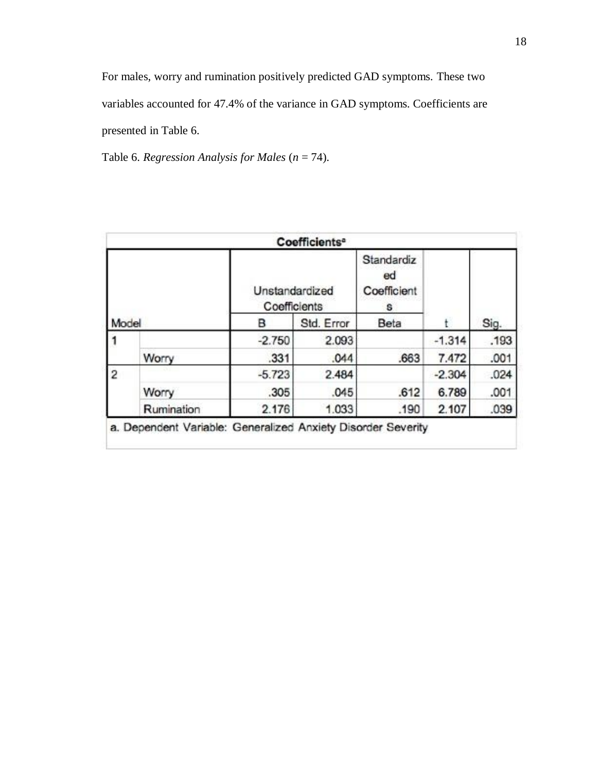For males, worry and rumination positively predicted GAD symptoms. These two variables accounted for 47.4% of the variance in GAD symptoms. Coefficients are presented in Table 6.

Table 6. *Regression Analysis for Males* (*n* = 74).

|                |            | Unstandardized<br>Coefficients | Coefficients <sup>a</sup> | Standardiz<br>ed<br>Coefficient<br>s |          |      |
|----------------|------------|--------------------------------|---------------------------|--------------------------------------|----------|------|
| Model          |            | в                              | Std. Error                | Beta                                 |          | Sig. |
|                |            | $-2.750$                       | 2.093                     |                                      | $-1.314$ | .193 |
|                | Worry      | .331                           | .044                      | .663                                 | 7.472    | .001 |
| $\overline{2}$ |            | $-5.723$                       | 2.484                     |                                      | $-2.304$ | .024 |
|                | Worry      | .305                           | .045                      | .612                                 | 6.789    | .001 |
|                | Rumination | 2.176                          | 1.033                     | .190                                 | 2.107    | .039 |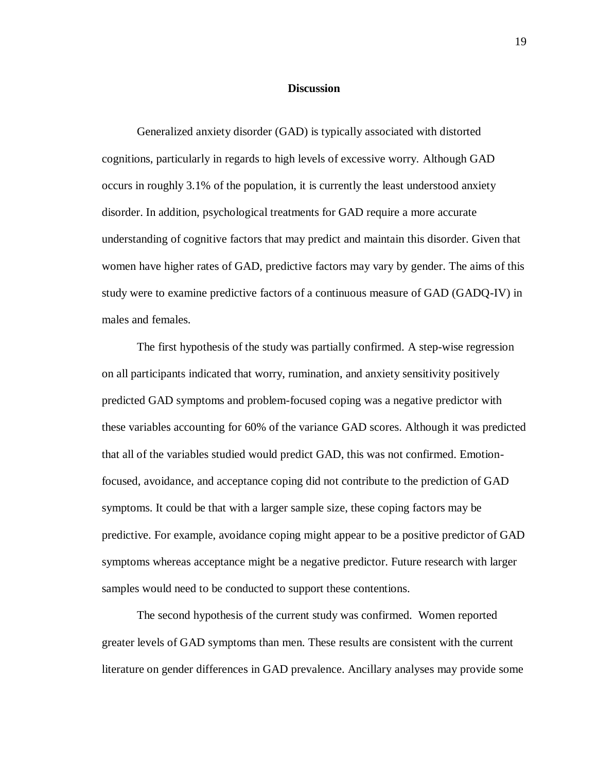#### **Discussion**

Generalized anxiety disorder (GAD) is typically associated with distorted cognitions, particularly in regards to high levels of excessive worry. Although GAD occurs in roughly 3.1% of the population, it is currently the least understood anxiety disorder. In addition, psychological treatments for GAD require a more accurate understanding of cognitive factors that may predict and maintain this disorder. Given that women have higher rates of GAD, predictive factors may vary by gender. The aims of this study were to examine predictive factors of a continuous measure of GAD (GADQ-IV) in males and females.

The first hypothesis of the study was partially confirmed. A step-wise regression on all participants indicated that worry, rumination, and anxiety sensitivity positively predicted GAD symptoms and problem-focused coping was a negative predictor with these variables accounting for 60% of the variance GAD scores. Although it was predicted that all of the variables studied would predict GAD, this was not confirmed. Emotionfocused, avoidance, and acceptance coping did not contribute to the prediction of GAD symptoms. It could be that with a larger sample size, these coping factors may be predictive. For example, avoidance coping might appear to be a positive predictor of GAD symptoms whereas acceptance might be a negative predictor. Future research with larger samples would need to be conducted to support these contentions.

The second hypothesis of the current study was confirmed. Women reported greater levels of GAD symptoms than men. These results are consistent with the current literature on gender differences in GAD prevalence. Ancillary analyses may provide some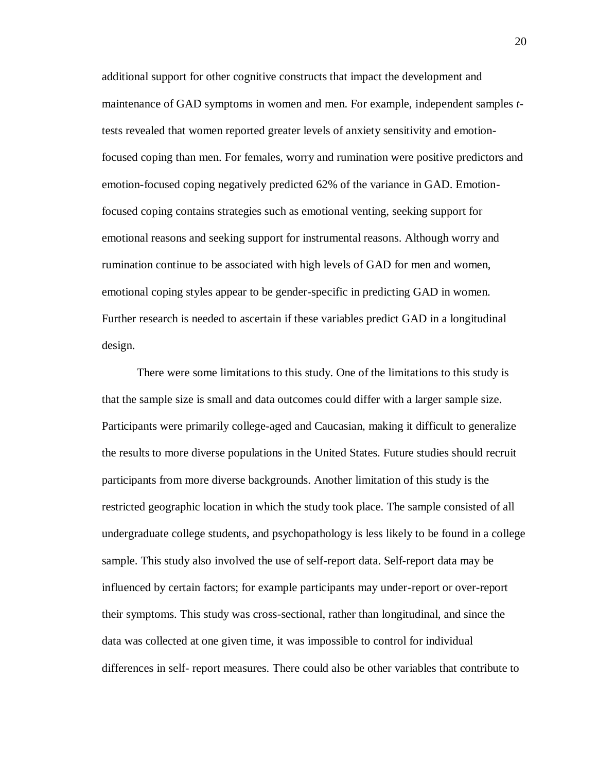additional support for other cognitive constructs that impact the development and maintenance of GAD symptoms in women and men. For example, independent samples *t*tests revealed that women reported greater levels of anxiety sensitivity and emotionfocused coping than men. For females, worry and rumination were positive predictors and emotion-focused coping negatively predicted 62% of the variance in GAD. Emotionfocused coping contains strategies such as emotional venting, seeking support for emotional reasons and seeking support for instrumental reasons. Although worry and rumination continue to be associated with high levels of GAD for men and women, emotional coping styles appear to be gender-specific in predicting GAD in women. Further research is needed to ascertain if these variables predict GAD in a longitudinal design.

There were some limitations to this study. One of the limitations to this study is that the sample size is small and data outcomes could differ with a larger sample size. Participants were primarily college-aged and Caucasian, making it difficult to generalize the results to more diverse populations in the United States. Future studies should recruit participants from more diverse backgrounds. Another limitation of this study is the restricted geographic location in which the study took place. The sample consisted of all undergraduate college students, and psychopathology is less likely to be found in a college sample. This study also involved the use of self-report data. Self-report data may be influenced by certain factors; for example participants may under-report or over-report their symptoms. This study was cross-sectional, rather than longitudinal, and since the data was collected at one given time, it was impossible to control for individual differences in self- report measures. There could also be other variables that contribute to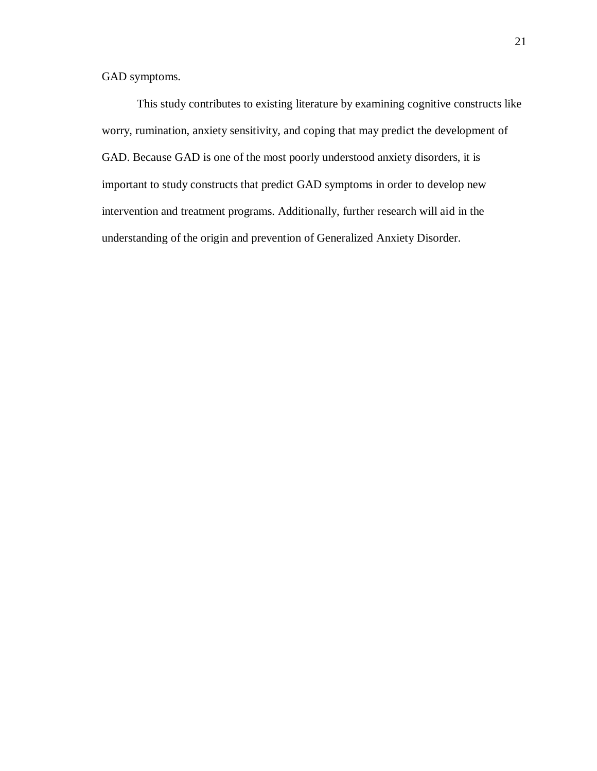GAD symptoms.

This study contributes to existing literature by examining cognitive constructs like worry, rumination, anxiety sensitivity, and coping that may predict the development of GAD. Because GAD is one of the most poorly understood anxiety disorders, it is important to study constructs that predict GAD symptoms in order to develop new intervention and treatment programs. Additionally, further research will aid in the understanding of the origin and prevention of Generalized Anxiety Disorder.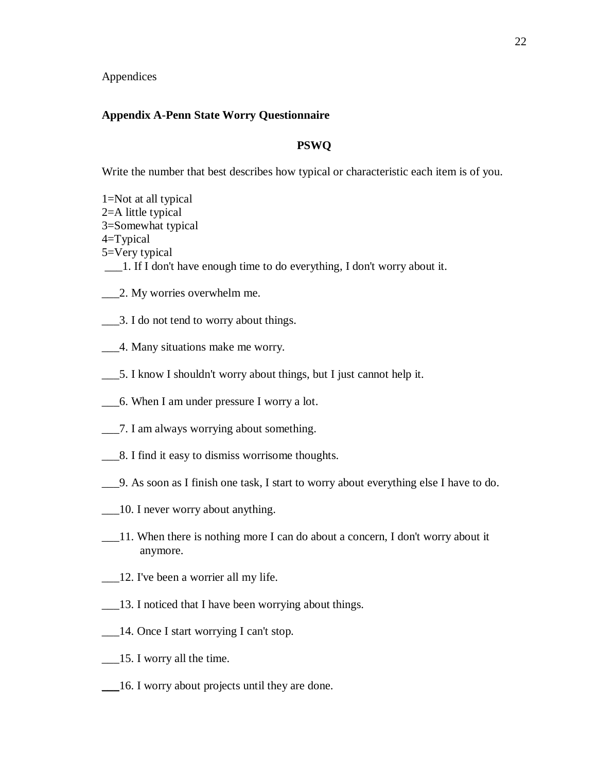Appendices

#### **Appendix A-Penn State Worry Questionnaire**

## **PSWQ**

Write the number that best describes how typical or characteristic each item is of you.

- 1=Not at all typical 2=A little typical 3=Somewhat typical 4=Typical 5=Very typical \_\_\_1. If I don't have enough time to do everything, I don't worry about it.
- \_\_\_2. My worries overwhelm me.
- \_\_\_3. I do not tend to worry about things.
- \_\_\_4. Many situations make me worry.
- \_\_\_5. I know I shouldn't worry about things, but I just cannot help it.
- \_\_\_6. When I am under pressure I worry a lot.
- \_\_\_7. I am always worrying about something.
- \_\_\_8. I find it easy to dismiss worrisome thoughts.
- \_\_\_9. As soon as I finish one task, I start to worry about everything else I have to do.
- \_\_\_10. I never worry about anything.
- \_\_\_11. When there is nothing more I can do about a concern, I don't worry about it anymore.
- \_\_\_12. I've been a worrier all my life.
- \_\_\_13. I noticed that I have been worrying about things.
- \_\_\_14. Once I start worrying I can't stop.
- \_\_\_15. I worry all the time.
- \_\_\_16. I worry about projects until they are done.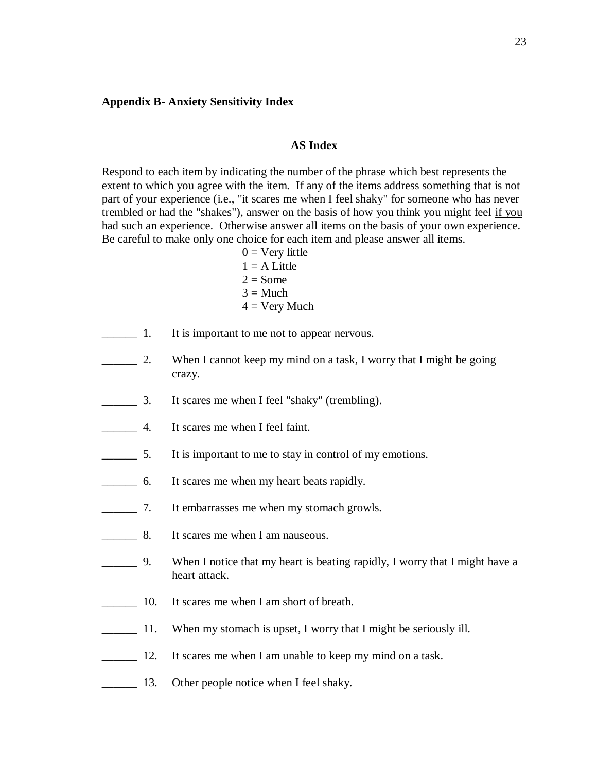#### **Appendix B- Anxiety Sensitivity Index**

### **AS Index**

Respond to each item by indicating the number of the phrase which best represents the extent to which you agree with the item. If any of the items address something that is not part of your experience (i.e., "it scares me when I feel shaky" for someone who has never trembled or had the "shakes"), answer on the basis of how you think you might feel if you had such an experience. Otherwise answer all items on the basis of your own experience. Be careful to make only one choice for each item and please answer all items.

- $0 = \text{Very little}$  $1 = A$  Little  $2 = Some$  $3 = Much$  $4 =$  Very Much
- **1.** It is important to me not to appear nervous.
- 2. When I cannot keep my mind on a task, I worry that I might be going crazy.
- \_\_\_\_\_\_ 3. It scares me when I feel "shaky" (trembling).
- **EXECUTE:** 4. It scares me when I feel faint.
- \_\_\_\_\_\_ 5. It is important to me to stay in control of my emotions.
- \_\_\_\_\_\_ 6. It scares me when my heart beats rapidly.
- \_\_\_\_\_\_ 7. It embarrasses me when my stomach growls.
- **EXECUTE:** 8. It scares me when I am nauseous.
- \_\_\_\_\_\_ 9. When I notice that my heart is beating rapidly, I worry that I might have a heart attack.
- \_\_\_\_\_\_ 10. It scares me when I am short of breath.
- 11. When my stomach is upset, I worry that I might be seriously ill.
- 12. It scares me when I am unable to keep my mind on a task.
- 13. Other people notice when I feel shaky.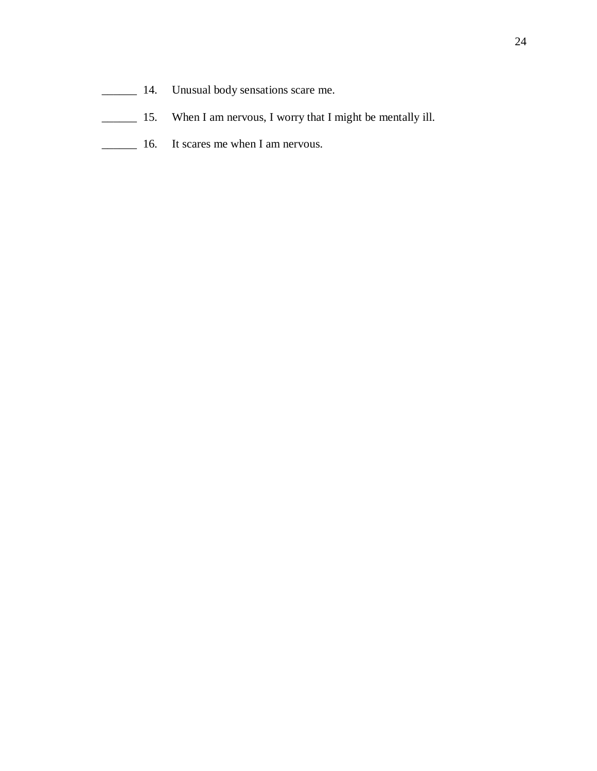- \_\_\_\_\_\_ 14. Unusual body sensations scare me.
- \_\_\_\_\_\_ 15. When I am nervous, I worry that I might be mentally ill.
- **16.** It scares me when I am nervous.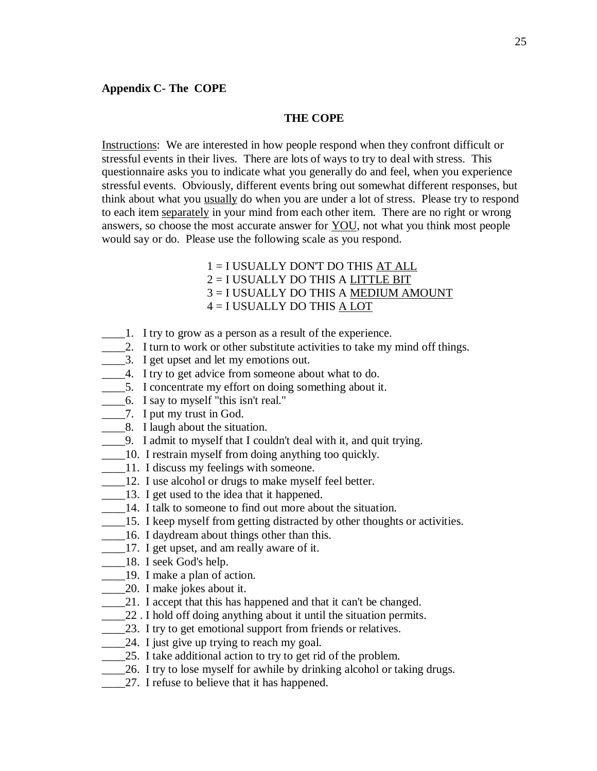#### **THE COPE**

Instructions: We are interested in how people respond when they confront difficult or stressful events in their lives. There are lots of ways to try to deal with stress. This questionnaire asks you to indicate what you generally do and feel, when you experience stressful events. Obviously, different events bring out somewhat different responses, but think about what you usually do when you are under a lot of stress. Please try to respond to each item separately in your mind from each other item. There are no right or wrong answers, so choose the most accurate answer for YOU, not what you think most people would say or do. Please use the following scale as you respond.

## 1 = I USUALLY DON'T DO THIS AT ALL 2 = I USUALLY DO THIS A LITTLE BIT 3 = I USUALLY DO THIS A MEDIUM AMOUNT 4 = I USUALLY DO THIS A LOT

- \_\_\_\_1. I try to grow as a person as a result of the experience.
- 1. I turn to work or other substitute activities to take my mind off things.
- \_\_\_\_3. I get upset and let my emotions out.
- \_\_\_\_4. I try to get advice from someone about what to do.
- 5. I concentrate my effort on doing something about it.
- \_\_\_\_6. I say to myself "this isn't real."
- \_\_\_\_7. I put my trust in God.
- \_\_\_\_8. I laugh about the situation.
- \_\_\_\_9. I admit to myself that I couldn't deal with it, and quit trying.
- \_\_\_\_10. I restrain myself from doing anything too quickly.
- 11. I discuss my feelings with someone.
- 12. I use alcohol or drugs to make myself feel better.
- \_\_\_\_13. I get used to the idea that it happened.
- 14. I talk to someone to find out more about the situation.
- 15. I keep myself from getting distracted by other thoughts or activities.
- \_\_\_\_16. I daydream about things other than this.
- \_\_\_\_17. I get upset, and am really aware of it.
- \_\_\_\_18. I seek God's help.
- \_\_\_\_19. I make a plan of action.
- \_\_\_\_20. I make jokes about it.
- 21. I accept that this has happened and that it can't be changed.
- 22. I hold off doing anything about it until the situation permits.
- 23. I try to get emotional support from friends or relatives.
- 24. I just give up trying to reach my goal.
- 25. I take additional action to try to get rid of the problem.
- \_\_\_\_26. I try to lose myself for awhile by drinking alcohol or taking drugs.
- 27. I refuse to believe that it has happened.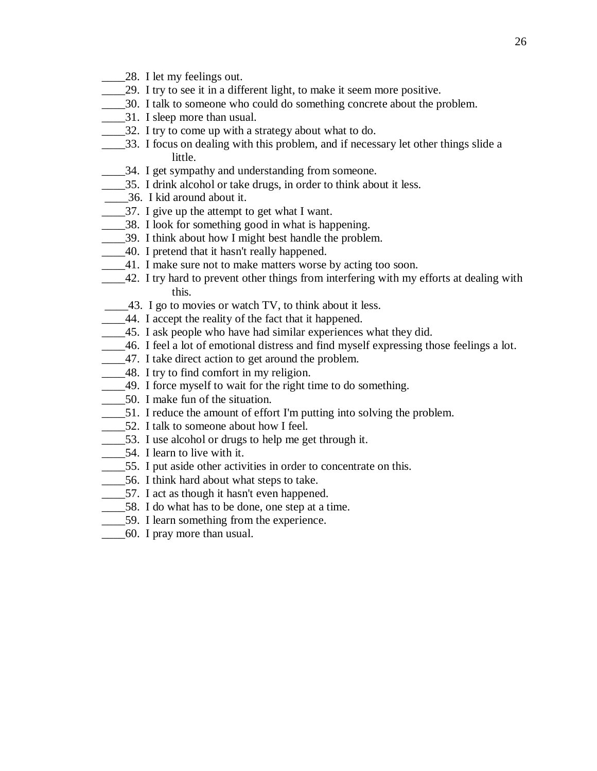- 28. I let my feelings out.
- \_\_\_\_29. I try to see it in a different light, to make it seem more positive.
- \_\_\_\_30. I talk to someone who could do something concrete about the problem.
- \_\_\_\_31. I sleep more than usual.
- \_\_\_\_32. I try to come up with a strategy about what to do.
- \_\_\_\_33. I focus on dealing with this problem, and if necessary let other things slide a little.
- \_\_\_\_34. I get sympathy and understanding from someone.
- \_\_\_\_35. I drink alcohol or take drugs, in order to think about it less.
- \_\_\_\_36. I kid around about it.
- \_\_\_\_\_\_37. I give up the attempt to get what I want.
- \_\_\_\_38. I look for something good in what is happening.
- \_\_\_\_39. I think about how I might best handle the problem.
- \_\_\_\_40. I pretend that it hasn't really happened.
- \_\_\_\_41. I make sure not to make matters worse by acting too soon.
- \_\_\_\_42. I try hard to prevent other things from interfering with my efforts at dealing with this.
- \_\_\_\_43. I go to movies or watch TV, to think about it less.
- \_\_\_\_44. I accept the reality of the fact that it happened.
- \_\_\_\_45. I ask people who have had similar experiences what they did.
- \_\_\_\_46. I feel a lot of emotional distress and find myself expressing those feelings a lot.
- \_\_\_\_47. I take direct action to get around the problem.
- \_\_\_\_48. I try to find comfort in my religion.
- \_\_\_\_49. I force myself to wait for the right time to do something.
- \_\_\_\_50. I make fun of the situation.
- \_\_\_\_51. I reduce the amount of effort I'm putting into solving the problem.
- \_\_\_\_52. I talk to someone about how I feel.
- 53. I use alcohol or drugs to help me get through it.
- 54. I learn to live with it.
- \_\_\_\_55. I put aside other activities in order to concentrate on this.
- \_\_\_\_56. I think hard about what steps to take.
- \_\_\_\_57. I act as though it hasn't even happened.
- \_\_\_\_58. I do what has to be done, one step at a time.
- \_\_\_\_59. I learn something from the experience.
- \_\_\_\_60. I pray more than usual.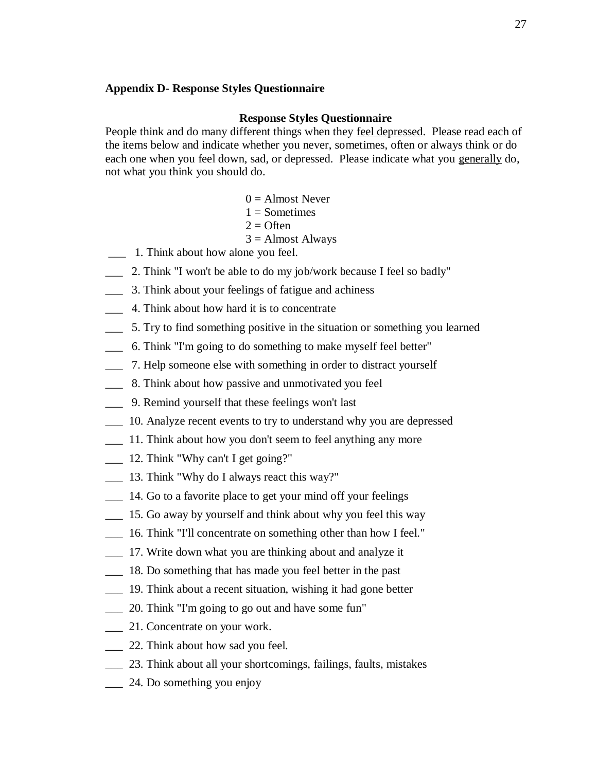### **Appendix D- Response Styles Questionnaire**

#### **Response Styles Questionnaire**

People think and do many different things when they feel depressed. Please read each of the items below and indicate whether you never, sometimes, often or always think or do each one when you feel down, sad, or depressed. Please indicate what you generally do, not what you think you should do.

- $0 =$  Almost Never
- $1 =$ Sometimes
- $2 =$  Often
- $3 =$  Almost Always
- \_\_\_ 1. Think about how alone you feel.
- \_\_\_ 2. Think "I won't be able to do my job/work because I feel so badly"
- \_\_\_ 3. Think about your feelings of fatigue and achiness
- \_\_\_ 4. Think about how hard it is to concentrate
- \_\_\_ 5. Try to find something positive in the situation or something you learned
- \_\_\_ 6. Think "I'm going to do something to make myself feel better"
- \_\_\_ 7. Help someone else with something in order to distract yourself
- \_\_\_ 8. Think about how passive and unmotivated you feel
- \_\_\_ 9. Remind yourself that these feelings won't last
- \_\_\_ 10. Analyze recent events to try to understand why you are depressed
- \_\_\_ 11. Think about how you don't seem to feel anything any more
- \_\_\_ 12. Think "Why can't I get going?"
- \_\_\_ 13. Think "Why do I always react this way?"
- \_\_\_ 14. Go to a favorite place to get your mind off your feelings
- \_\_\_ 15. Go away by yourself and think about why you feel this way
- \_\_\_ 16. Think "I'll concentrate on something other than how I feel."
- 17. Write down what you are thinking about and analyze it
- \_\_\_ 18. Do something that has made you feel better in the past
- \_\_\_ 19. Think about a recent situation, wishing it had gone better
- \_\_\_ 20. Think "I'm going to go out and have some fun"
- \_\_\_ 21. Concentrate on your work.
- 22. Think about how sad you feel.
- \_\_\_ 23. Think about all your shortcomings, failings, faults, mistakes
- $\frac{1}{24}$ . Do something you enjoy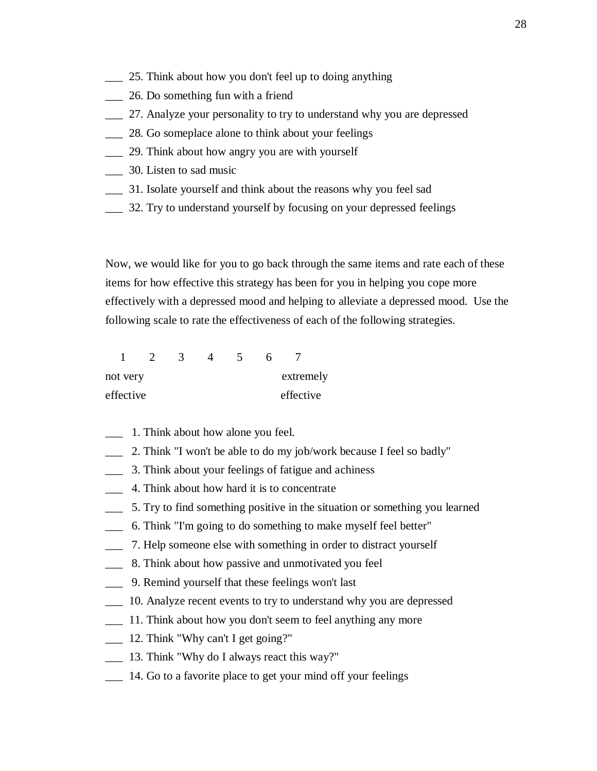- \_\_\_ 25. Think about how you don't feel up to doing anything
- \_\_\_ 26. Do something fun with a friend
- \_\_\_ 27. Analyze your personality to try to understand why you are depressed
- \_\_\_ 28. Go someplace alone to think about your feelings
- \_\_\_ 29. Think about how angry you are with yourself
- \_\_\_ 30. Listen to sad music
- \_\_\_ 31. Isolate yourself and think about the reasons why you feel sad
- \_\_\_ 32. Try to understand yourself by focusing on your depressed feelings

Now, we would like for you to go back through the same items and rate each of these items for how effective this strategy has been for you in helping you cope more effectively with a depressed mood and helping to alleviate a depressed mood. Use the following scale to rate the effectiveness of each of the following strategies.

| not very  |  |  | extremely |  |
|-----------|--|--|-----------|--|
| effective |  |  | effective |  |

- \_\_\_ 1. Think about how alone you feel.
- \_\_\_ 2. Think "I won't be able to do my job/work because I feel so badly"
- \_\_\_ 3. Think about your feelings of fatigue and achiness
- \_\_\_ 4. Think about how hard it is to concentrate
- \_\_\_ 5. Try to find something positive in the situation or something you learned
- \_\_\_ 6. Think "I'm going to do something to make myself feel better"
- \_\_\_ 7. Help someone else with something in order to distract yourself
- \_\_\_ 8. Think about how passive and unmotivated you feel
- \_\_\_ 9. Remind yourself that these feelings won't last
- \_\_\_ 10. Analyze recent events to try to understand why you are depressed
- \_\_\_ 11. Think about how you don't seem to feel anything any more
- \_\_\_ 12. Think "Why can't I get going?"
- \_\_\_ 13. Think "Why do I always react this way?"
- 14. Go to a favorite place to get your mind off your feelings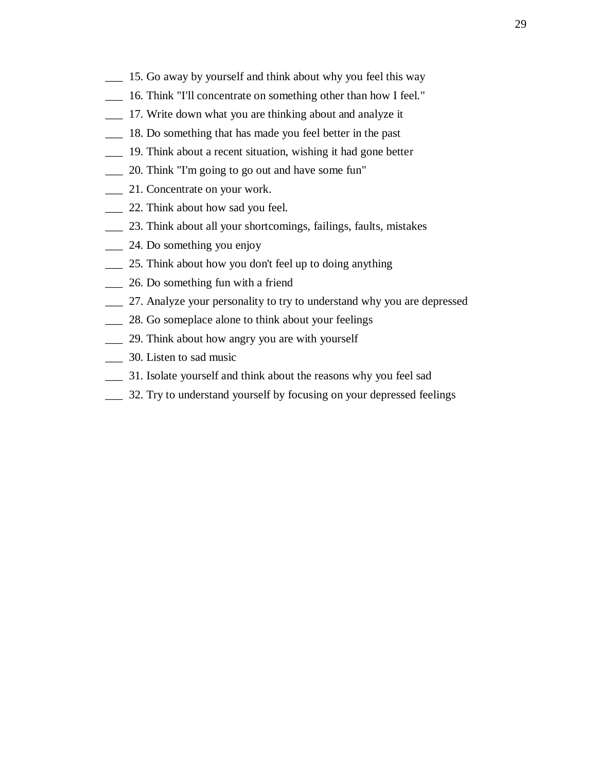- \_\_\_ 15. Go away by yourself and think about why you feel this way
- \_\_\_ 16. Think "I'll concentrate on something other than how I feel."
- \_\_\_ 17. Write down what you are thinking about and analyze it
- \_\_\_ 18. Do something that has made you feel better in the past
- \_\_\_ 19. Think about a recent situation, wishing it had gone better
- \_\_\_ 20. Think "I'm going to go out and have some fun"
- 21. Concentrate on your work.
- \_\_\_ 22. Think about how sad you feel.
- \_\_\_ 23. Think about all your shortcomings, failings, faults, mistakes
- \_\_\_ 24. Do something you enjoy
- \_\_\_ 25. Think about how you don't feel up to doing anything
- \_\_\_ 26. Do something fun with a friend
- \_\_\_ 27. Analyze your personality to try to understand why you are depressed
- \_\_\_ 28. Go someplace alone to think about your feelings
- \_\_\_ 29. Think about how angry you are with yourself
- \_\_\_ 30. Listen to sad music
- \_\_\_ 31. Isolate yourself and think about the reasons why you feel sad
- \_\_\_ 32. Try to understand yourself by focusing on your depressed feelings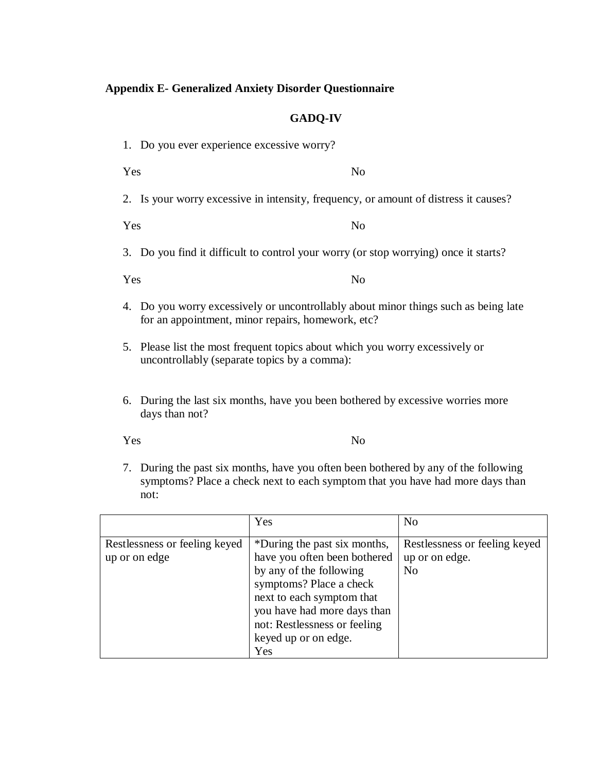## **Appendix E- Generalized Anxiety Disorder Questionnaire**

## **GADQ-IV**

- 1. Do you ever experience excessive worry?
- Yes No
- 2. Is your worry excessive in intensity, frequency, or amount of distress it causes?

Yes No

3. Do you find it difficult to control your worry (or stop worrying) once it starts?

Yes No

- 4. Do you worry excessively or uncontrollably about minor things such as being late for an appointment, minor repairs, homework, etc?
- 5. Please list the most frequent topics about which you worry excessively or uncontrollably (separate topics by a comma):
- 6. During the last six months, have you been bothered by excessive worries more days than not?

Yes No

7. During the past six months, have you often been bothered by any of the following symptoms? Place a check next to each symptom that you have had more days than not:

|                                                | Yes                                                                                                                                                                                                                                           | N <sub>o</sub>                                                    |
|------------------------------------------------|-----------------------------------------------------------------------------------------------------------------------------------------------------------------------------------------------------------------------------------------------|-------------------------------------------------------------------|
| Restlessness or feeling keyed<br>up or on edge | *During the past six months,<br>have you often been bothered<br>by any of the following<br>symptoms? Place a check<br>next to each symptom that<br>you have had more days than<br>not: Restlessness or feeling<br>keyed up or on edge.<br>Yes | Restlessness or feeling keyed<br>up or on edge.<br>N <sub>0</sub> |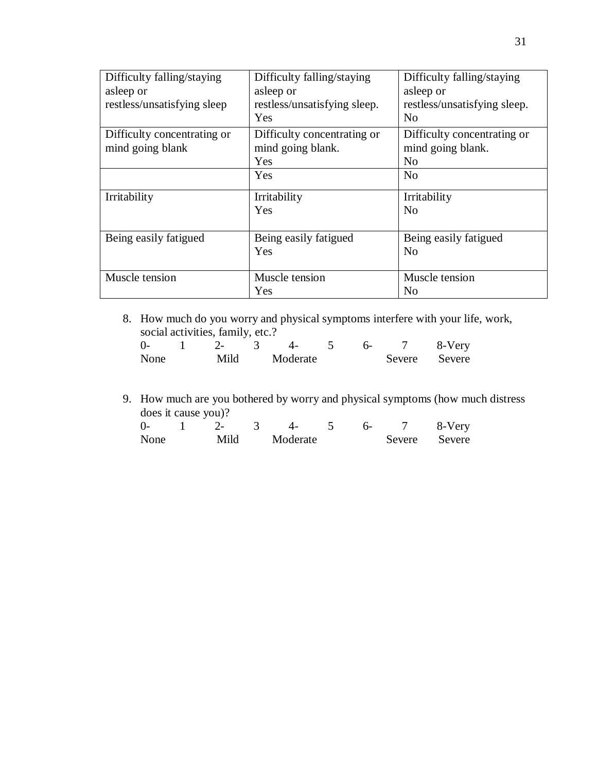| Difficulty falling/staying  | Difficulty falling/staying   | Difficulty falling/staying   |
|-----------------------------|------------------------------|------------------------------|
| asleep or                   | asleep or                    | asleep or                    |
| restless/unsatisfying sleep | restless/unsatisfying sleep. | restless/unsatisfying sleep. |
|                             | Yes                          | N <sub>0</sub>               |
| Difficulty concentrating or | Difficulty concentrating or  | Difficulty concentrating or  |
| mind going blank            | mind going blank.            | mind going blank.            |
|                             | Yes                          | N <sub>0</sub>               |
|                             | Yes                          | N <sub>0</sub>               |
| Irritability                | Irritability                 | Irritability                 |
|                             | Yes                          | N <sub>0</sub>               |
|                             |                              |                              |
| Being easily fatigued       | Being easily fatigued        | Being easily fatigued        |
|                             | Yes                          | N <sub>0</sub>               |
|                             |                              |                              |
| Muscle tension              | Muscle tension               | Muscle tension               |
|                             | Yes                          | N <sub>o</sub>               |

8. How much do you worry and physical symptoms interfere with your life, work, social activities, family, etc.?

| $\Omega$ |      |          |  | 8-Very        |
|----------|------|----------|--|---------------|
| None     | Mild | Moderate |  | Severe Severe |

9. How much are you bothered by worry and physical symptoms (how much distress does it cause you)?

| 0-   | ,  _ |          |  | 8-Very        |
|------|------|----------|--|---------------|
| None | Mild | Moderate |  | Severe Severe |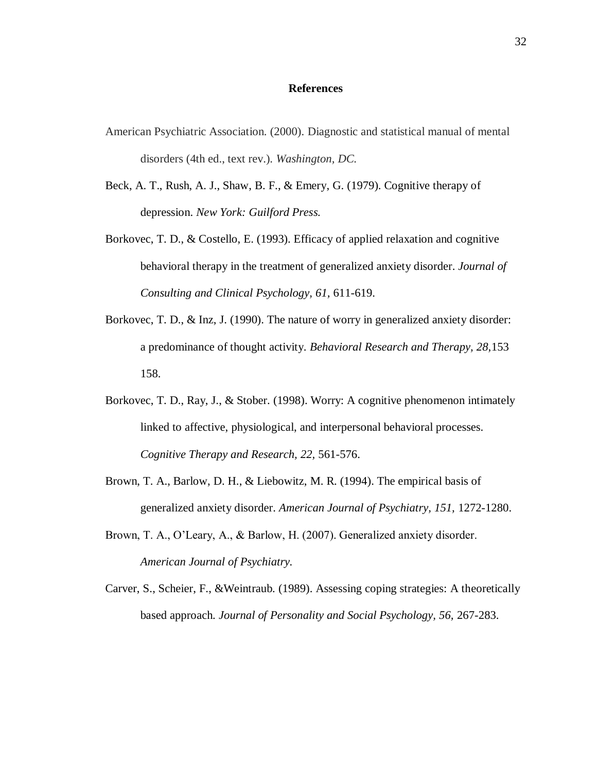#### **References**

- American Psychiatric Association. (2000). Diagnostic and statistical manual of mental disorders (4th ed., text rev.). *Washington, DC.*
- Beck, A. T., Rush, A. J., Shaw, B. F., & Emery, G. (1979). Cognitive therapy of depression. *New York: Guilford Press.*
- Borkovec, T. D., & Costello, E. (1993). Efficacy of applied relaxation and cognitive behavioral therapy in the treatment of generalized anxiety disorder. *Journal of Consulting and Clinical Psychology, 61,* 611-619.
- Borkovec, T. D., & Inz, J. (1990). The nature of worry in generalized anxiety disorder: a predominance of thought activity. *Behavioral Research and Therapy, 28,*153 158.
- Borkovec, T. D., Ray, J., & Stober. (1998). Worry: A cognitive phenomenon intimately linked to affective, physiological, and interpersonal behavioral processes. *Cognitive Therapy and Research, 22,* 561-576.
- Brown, T. A., Barlow, D. H., & Liebowitz, M. R. (1994). The empirical basis of generalized anxiety disorder. *American Journal of Psychiatry, 151,* 1272-1280.
- Brown, T. A., O'Leary, A., & Barlow, H. (2007). Generalized anxiety disorder. *American Journal of Psychiatry.*
- Carver, S., Scheier, F., &Weintraub. (1989). Assessing coping strategies: A theoretically based approach. *Journal of Personality and Social Psychology, 56,* 267-283.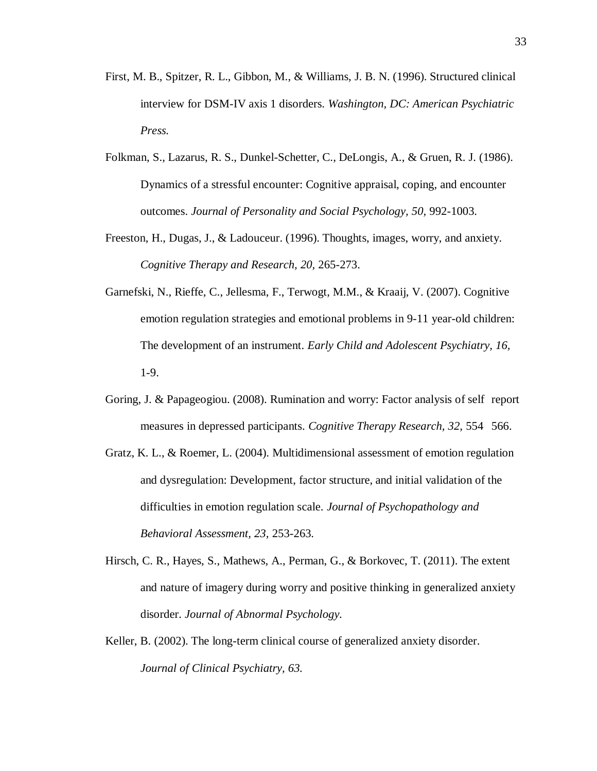- First, M. B., Spitzer, R. L., Gibbon, M., & Williams, J. B. N. (1996). Structured clinical interview for DSM-IV axis 1 disorders. *Washington, DC: American Psychiatric Press.*
- Folkman, S., Lazarus, R. S., Dunkel-Schetter, C., DeLongis, A., & Gruen, R. J. (1986). Dynamics of a stressful encounter: Cognitive appraisal, coping, and encounter outcomes. *Journal of Personality and Social Psychology, 50,* 992-1003.
- Freeston, H., Dugas, J., & Ladouceur. (1996). Thoughts, images, worry, and anxiety. *Cognitive Therapy and Research, 20,* 265-273.
- Garnefski, N., Rieffe, C., Jellesma, F., Terwogt, M.M., & Kraaij, V. (2007). Cognitive emotion regulation strategies and emotional problems in 9-11 year-old children: The development of an instrument. *Early Child and Adolescent Psychiatry, 16,*  1-9.
- Goring, J. & Papageogiou. (2008). Rumination and worry: Factor analysis of self report measures in depressed participants. *Cognitive Therapy Research, 32,* 554 566.
- Gratz, K. L., & Roemer, L. (2004). Multidimensional assessment of emotion regulation and dysregulation: Development, factor structure, and initial validation of the difficulties in emotion regulation scale. *Journal of Psychopathology and Behavioral Assessment, 23,* 253-263.
- Hirsch, C. R., Hayes, S., Mathews, A., Perman, G., & Borkovec, T. (2011). The extent and nature of imagery during worry and positive thinking in generalized anxiety disorder. *Journal of Abnormal Psychology.*
- Keller, B. (2002). The long-term clinical course of generalized anxiety disorder. *Journal of Clinical Psychiatry, 63.*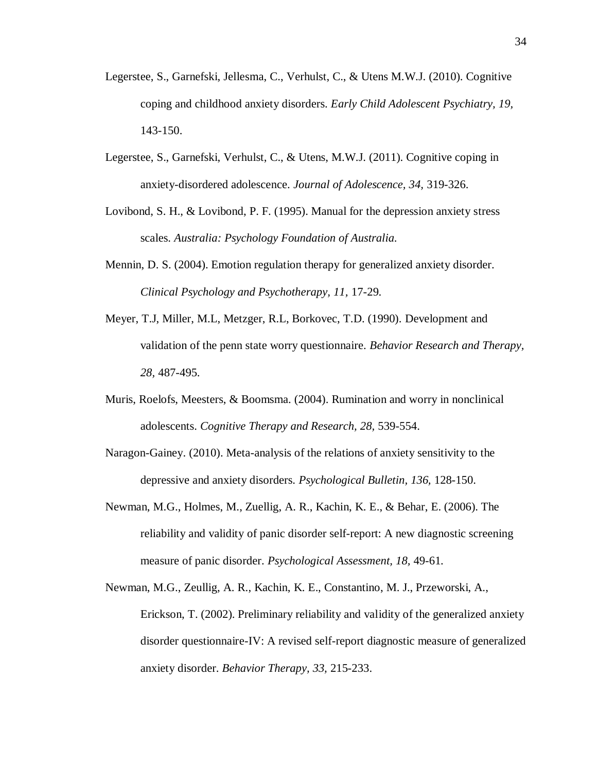- Legerstee, S., Garnefski, Jellesma, C., Verhulst, C., & Utens M.W.J. (2010). Cognitive coping and childhood anxiety disorders. *Early Child Adolescent Psychiatry, 19,* 143-150.
- Legerstee, S., Garnefski, Verhulst, C., & Utens, M.W.J. (2011). Cognitive coping in anxiety-disordered adolescence. *Journal of Adolescence, 34,* 319-326.
- Lovibond, S. H., & Lovibond, P. F. (1995). Manual for the depression anxiety stress scales. *Australia: Psychology Foundation of Australia.*
- Mennin, D. S. (2004). Emotion regulation therapy for generalized anxiety disorder. *Clinical Psychology and Psychotherapy, 11,* 17-29.
- Meyer, T.J, Miller, M.L, Metzger, R.L, Borkovec, T.D. (1990). Development and validation of the penn state worry questionnaire. *Behavior Research and Therapy, 28,* 487-495.
- Muris, Roelofs, Meesters, & Boomsma. (2004). Rumination and worry in nonclinical adolescents. *Cognitive Therapy and Research, 28,* 539-554.
- Naragon-Gainey. (2010). Meta-analysis of the relations of anxiety sensitivity to the depressive and anxiety disorders. *Psychological Bulletin, 136,* 128-150.
- Newman, M.G., Holmes, M., Zuellig, A. R., Kachin, K. E., & Behar, E. (2006). The reliability and validity of panic disorder self-report: A new diagnostic screening measure of panic disorder. *Psychological Assessment, 18,* 49-61.
- Newman, M.G., Zeullig, A. R., Kachin, K. E., Constantino, M. J., Przeworski, A., Erickson, T. (2002). Preliminary reliability and validity of the generalized anxiety disorder questionnaire-IV: A revised self-report diagnostic measure of generalized anxiety disorder. *Behavior Therapy, 33,* 215-233.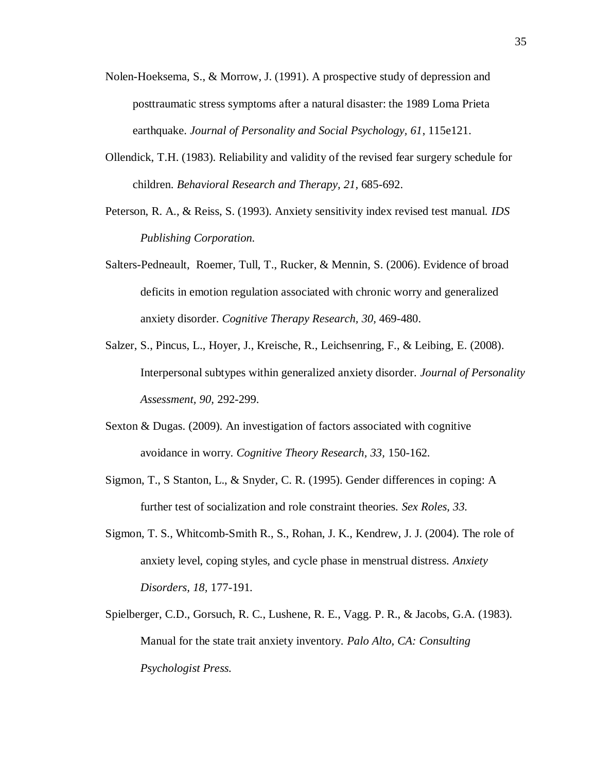- Nolen-Hoeksema, S., & Morrow, J. (1991). A prospective study of depression and posttraumatic stress symptoms after a natural disaster: the 1989 Loma Prieta earthquake. *Journal of Personality and Social Psychology, 61*, 115e121.
- Ollendick, T.H. (1983). Reliability and validity of the revised fear surgery schedule for children. *Behavioral Research and Therapy, 21,* 685-692.
- Peterson, R. A., & Reiss, S. (1993). Anxiety sensitivity index revised test manual. *IDS Publishing Corporation.*
- Salters-Pedneault, Roemer, Tull, T., Rucker, & Mennin, S. (2006). Evidence of broad deficits in emotion regulation associated with chronic worry and generalized anxiety disorder. *Cognitive Therapy Research, 30,* 469-480.
- Salzer, S., Pincus, L., Hoyer, J., Kreische, R., Leichsenring, F., & Leibing, E. (2008). Interpersonal subtypes within generalized anxiety disorder. *Journal of Personality Assessment, 90,* 292-299.
- Sexton & Dugas. (2009). An investigation of factors associated with cognitive avoidance in worry. *Cognitive Theory Research, 33,* 150-162.
- Sigmon, T., S Stanton, L., & Snyder, C. R. (1995). Gender differences in coping: A further test of socialization and role constraint theories. *Sex Roles, 33.*
- Sigmon, T. S., Whitcomb-Smith R., S., Rohan, J. K., Kendrew, J. J. (2004). The role of anxiety level, coping styles, and cycle phase in menstrual distress. *Anxiety Disorders, 18,* 177-191.
- Spielberger, C.D., Gorsuch, R. C., Lushene, R. E., Vagg. P. R., & Jacobs, G.A. (1983). Manual for the state trait anxiety inventory. *Palo Alto, CA: Consulting Psychologist Press.*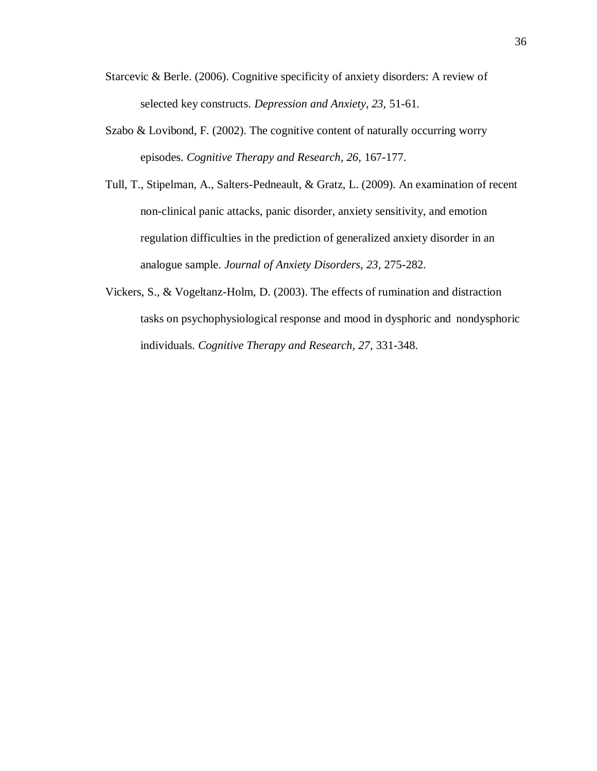- Starcevic & Berle. (2006). Cognitive specificity of anxiety disorders: A review of selected key constructs. *Depression and Anxiety, 23,* 51-61.
- Szabo & Lovibond, F. (2002). The cognitive content of naturally occurring worry episodes. *Cognitive Therapy and Research, 26,* 167-177.
- Tull, T., Stipelman, A., Salters-Pedneault, & Gratz, L. (2009). An examination of recent non-clinical panic attacks, panic disorder, anxiety sensitivity, and emotion regulation difficulties in the prediction of generalized anxiety disorder in an analogue sample. *Journal of Anxiety Disorders, 23,* 275-282.
- Vickers, S., & Vogeltanz-Holm, D. (2003). The effects of rumination and distraction tasks on psychophysiological response and mood in dysphoric and nondysphoric individuals. *Cognitive Therapy and Research, 27,* 331-348.